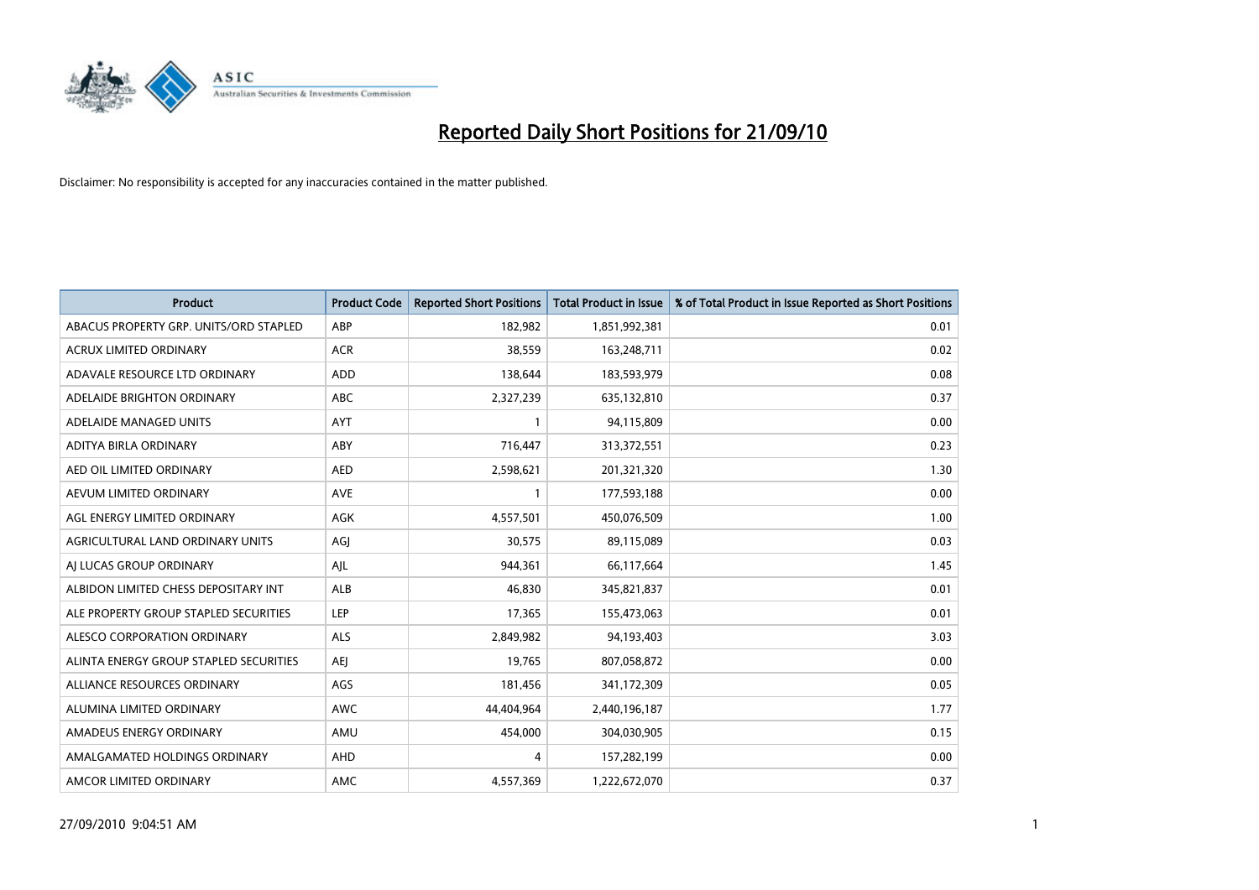

| <b>Product</b>                         | <b>Product Code</b> | <b>Reported Short Positions</b> | Total Product in Issue | % of Total Product in Issue Reported as Short Positions |
|----------------------------------------|---------------------|---------------------------------|------------------------|---------------------------------------------------------|
| ABACUS PROPERTY GRP. UNITS/ORD STAPLED | ABP                 | 182,982                         | 1,851,992,381          | 0.01                                                    |
| ACRUX LIMITED ORDINARY                 | <b>ACR</b>          | 38,559                          | 163,248,711            | 0.02                                                    |
| ADAVALE RESOURCE LTD ORDINARY          | <b>ADD</b>          | 138,644                         | 183,593,979            | 0.08                                                    |
| ADELAIDE BRIGHTON ORDINARY             | <b>ABC</b>          | 2,327,239                       | 635,132,810            | 0.37                                                    |
| ADELAIDE MANAGED UNITS                 | <b>AYT</b>          |                                 | 94,115,809             | 0.00                                                    |
| ADITYA BIRLA ORDINARY                  | ABY                 | 716,447                         | 313,372,551            | 0.23                                                    |
| AED OIL LIMITED ORDINARY               | <b>AED</b>          | 2,598,621                       | 201,321,320            | 1.30                                                    |
| AEVUM LIMITED ORDINARY                 | <b>AVE</b>          |                                 | 177,593,188            | 0.00                                                    |
| AGL ENERGY LIMITED ORDINARY            | AGK                 | 4,557,501                       | 450,076,509            | 1.00                                                    |
| AGRICULTURAL LAND ORDINARY UNITS       | AGI                 | 30,575                          | 89,115,089             | 0.03                                                    |
| AJ LUCAS GROUP ORDINARY                | AJL                 | 944,361                         | 66,117,664             | 1.45                                                    |
| ALBIDON LIMITED CHESS DEPOSITARY INT   | ALB                 | 46,830                          | 345,821,837            | 0.01                                                    |
| ALE PROPERTY GROUP STAPLED SECURITIES  | LEP                 | 17,365                          | 155,473,063            | 0.01                                                    |
| ALESCO CORPORATION ORDINARY            | <b>ALS</b>          | 2,849,982                       | 94,193,403             | 3.03                                                    |
| ALINTA ENERGY GROUP STAPLED SECURITIES | <b>AEI</b>          | 19,765                          | 807,058,872            | 0.00                                                    |
| ALLIANCE RESOURCES ORDINARY            | AGS                 | 181,456                         | 341,172,309            | 0.05                                                    |
| ALUMINA LIMITED ORDINARY               | <b>AWC</b>          | 44,404,964                      | 2,440,196,187          | 1.77                                                    |
| AMADEUS ENERGY ORDINARY                | AMU                 | 454,000                         | 304,030,905            | 0.15                                                    |
| AMALGAMATED HOLDINGS ORDINARY          | AHD                 | 4                               | 157,282,199            | 0.00                                                    |
| AMCOR LIMITED ORDINARY                 | <b>AMC</b>          | 4,557,369                       | 1,222,672,070          | 0.37                                                    |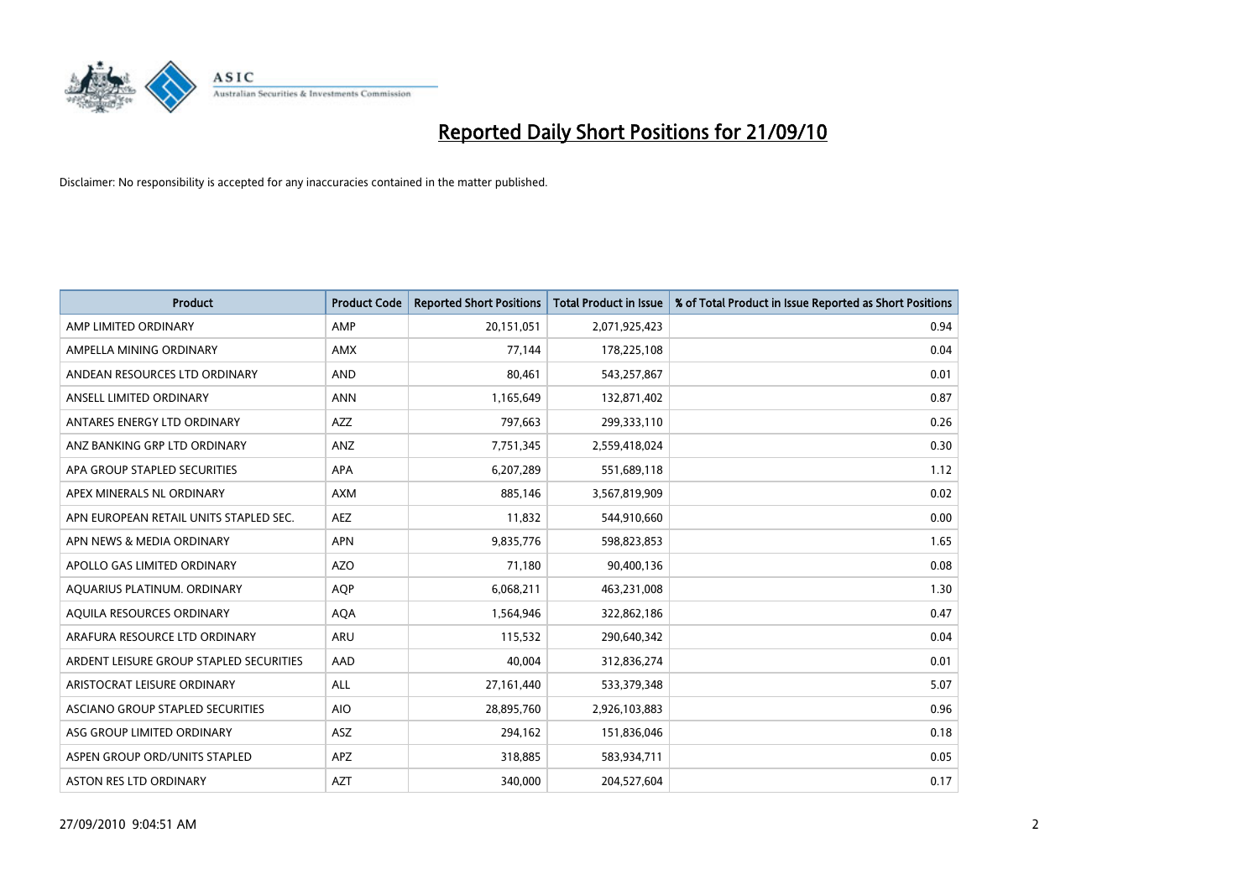

| <b>Product</b>                          | <b>Product Code</b> | <b>Reported Short Positions</b> | Total Product in Issue | % of Total Product in Issue Reported as Short Positions |
|-----------------------------------------|---------------------|---------------------------------|------------------------|---------------------------------------------------------|
| AMP LIMITED ORDINARY                    | AMP                 | 20,151,051                      | 2,071,925,423          | 0.94                                                    |
| AMPELLA MINING ORDINARY                 | <b>AMX</b>          | 77.144                          | 178,225,108            | 0.04                                                    |
| ANDEAN RESOURCES LTD ORDINARY           | <b>AND</b>          | 80,461                          | 543,257,867            | 0.01                                                    |
| ANSELL LIMITED ORDINARY                 | <b>ANN</b>          | 1,165,649                       | 132,871,402            | 0.87                                                    |
| ANTARES ENERGY LTD ORDINARY             | <b>AZZ</b>          | 797.663                         | 299,333,110            | 0.26                                                    |
| ANZ BANKING GRP LTD ORDINARY            | ANZ                 | 7,751,345                       | 2,559,418,024          | 0.30                                                    |
| APA GROUP STAPLED SECURITIES            | <b>APA</b>          | 6,207,289                       | 551,689,118            | 1.12                                                    |
| APEX MINERALS NL ORDINARY               | <b>AXM</b>          | 885,146                         | 3,567,819,909          | 0.02                                                    |
| APN EUROPEAN RETAIL UNITS STAPLED SEC.  | <b>AEZ</b>          | 11,832                          | 544,910,660            | 0.00                                                    |
| APN NEWS & MEDIA ORDINARY               | <b>APN</b>          | 9,835,776                       | 598,823,853            | 1.65                                                    |
| APOLLO GAS LIMITED ORDINARY             | <b>AZO</b>          | 71,180                          | 90,400,136             | 0.08                                                    |
| AQUARIUS PLATINUM. ORDINARY             | <b>AOP</b>          | 6,068,211                       | 463,231,008            | 1.30                                                    |
| AQUILA RESOURCES ORDINARY               | <b>AQA</b>          | 1,564,946                       | 322,862,186            | 0.47                                                    |
| ARAFURA RESOURCE LTD ORDINARY           | <b>ARU</b>          | 115.532                         | 290,640,342            | 0.04                                                    |
| ARDENT LEISURE GROUP STAPLED SECURITIES | AAD                 | 40,004                          | 312,836,274            | 0.01                                                    |
| ARISTOCRAT LEISURE ORDINARY             | <b>ALL</b>          | 27,161,440                      | 533,379,348            | 5.07                                                    |
| ASCIANO GROUP STAPLED SECURITIES        | <b>AIO</b>          | 28,895,760                      | 2,926,103,883          | 0.96                                                    |
| ASG GROUP LIMITED ORDINARY              | <b>ASZ</b>          | 294,162                         | 151,836,046            | 0.18                                                    |
| ASPEN GROUP ORD/UNITS STAPLED           | <b>APZ</b>          | 318,885                         | 583,934,711            | 0.05                                                    |
| <b>ASTON RES LTD ORDINARY</b>           | <b>AZT</b>          | 340.000                         | 204,527,604            | 0.17                                                    |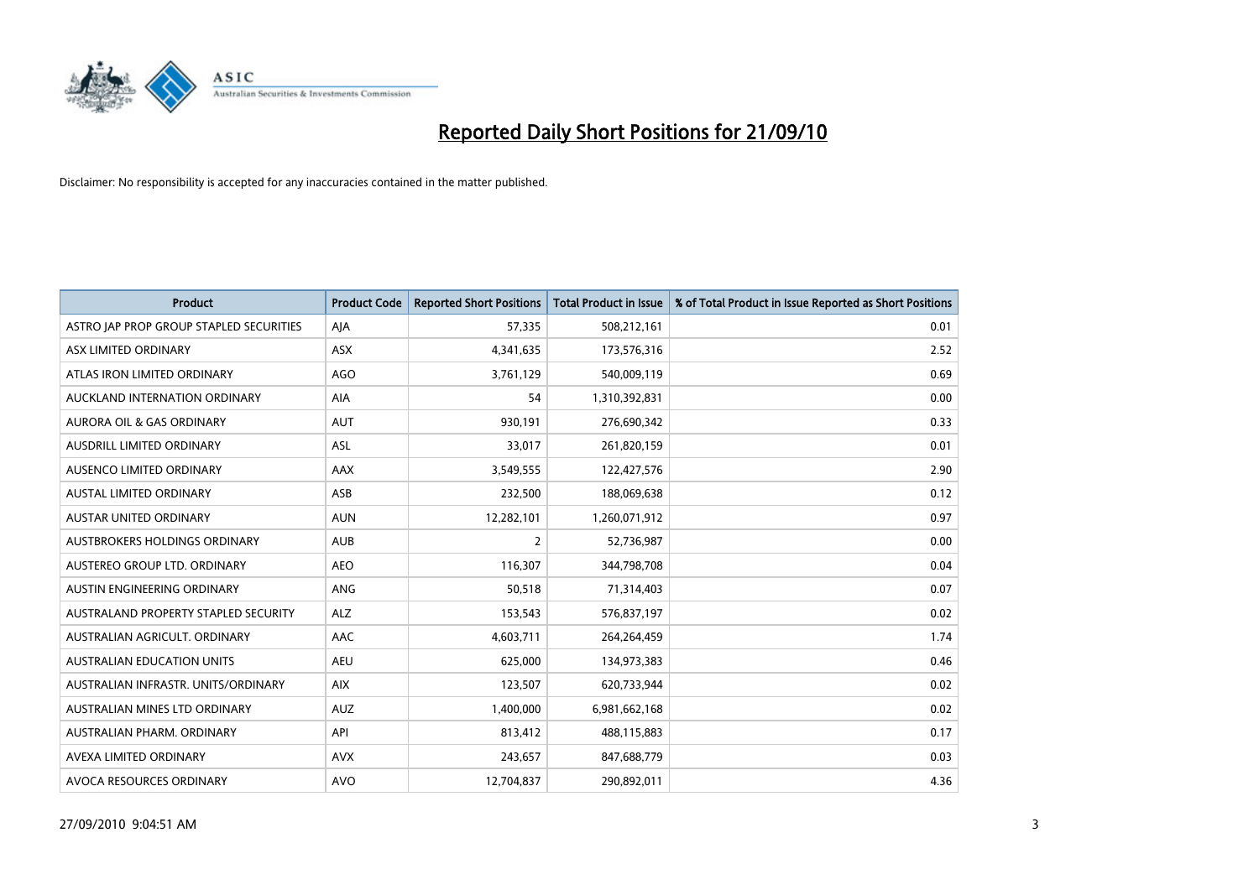

| <b>Product</b>                          | <b>Product Code</b> | <b>Reported Short Positions</b> | Total Product in Issue | % of Total Product in Issue Reported as Short Positions |
|-----------------------------------------|---------------------|---------------------------------|------------------------|---------------------------------------------------------|
| ASTRO JAP PROP GROUP STAPLED SECURITIES | AJA                 | 57,335                          | 508,212,161            | 0.01                                                    |
| ASX LIMITED ORDINARY                    | ASX                 | 4,341,635                       | 173,576,316            | 2.52                                                    |
| ATLAS IRON LIMITED ORDINARY             | AGO                 | 3,761,129                       | 540,009,119            | 0.69                                                    |
| AUCKLAND INTERNATION ORDINARY           | AIA                 | 54                              | 1,310,392,831          | 0.00                                                    |
| <b>AURORA OIL &amp; GAS ORDINARY</b>    | <b>AUT</b>          | 930,191                         | 276,690,342            | 0.33                                                    |
| AUSDRILL LIMITED ORDINARY               | <b>ASL</b>          | 33,017                          | 261,820,159            | 0.01                                                    |
| AUSENCO LIMITED ORDINARY                | AAX                 | 3,549,555                       | 122,427,576            | 2.90                                                    |
| AUSTAL LIMITED ORDINARY                 | ASB                 | 232,500                         | 188,069,638            | 0.12                                                    |
| <b>AUSTAR UNITED ORDINARY</b>           | <b>AUN</b>          | 12,282,101                      | 1,260,071,912          | 0.97                                                    |
| AUSTBROKERS HOLDINGS ORDINARY           | <b>AUB</b>          | $\overline{2}$                  | 52,736,987             | 0.00                                                    |
| AUSTEREO GROUP LTD. ORDINARY            | <b>AEO</b>          | 116,307                         | 344,798,708            | 0.04                                                    |
| AUSTIN ENGINEERING ORDINARY             | ANG                 | 50,518                          | 71,314,403             | 0.07                                                    |
| AUSTRALAND PROPERTY STAPLED SECURITY    | <b>ALZ</b>          | 153,543                         | 576,837,197            | 0.02                                                    |
| AUSTRALIAN AGRICULT, ORDINARY           | AAC                 | 4,603,711                       | 264,264,459            | 1.74                                                    |
| <b>AUSTRALIAN EDUCATION UNITS</b>       | <b>AEU</b>          | 625,000                         | 134,973,383            | 0.46                                                    |
| AUSTRALIAN INFRASTR. UNITS/ORDINARY     | <b>AIX</b>          | 123,507                         | 620,733,944            | 0.02                                                    |
| AUSTRALIAN MINES LTD ORDINARY           | <b>AUZ</b>          | 1,400,000                       | 6,981,662,168          | 0.02                                                    |
| AUSTRALIAN PHARM. ORDINARY              | API                 | 813,412                         | 488,115,883            | 0.17                                                    |
| AVEXA LIMITED ORDINARY                  | <b>AVX</b>          | 243,657                         | 847,688,779            | 0.03                                                    |
| AVOCA RESOURCES ORDINARY                | <b>AVO</b>          | 12,704,837                      | 290,892,011            | 4.36                                                    |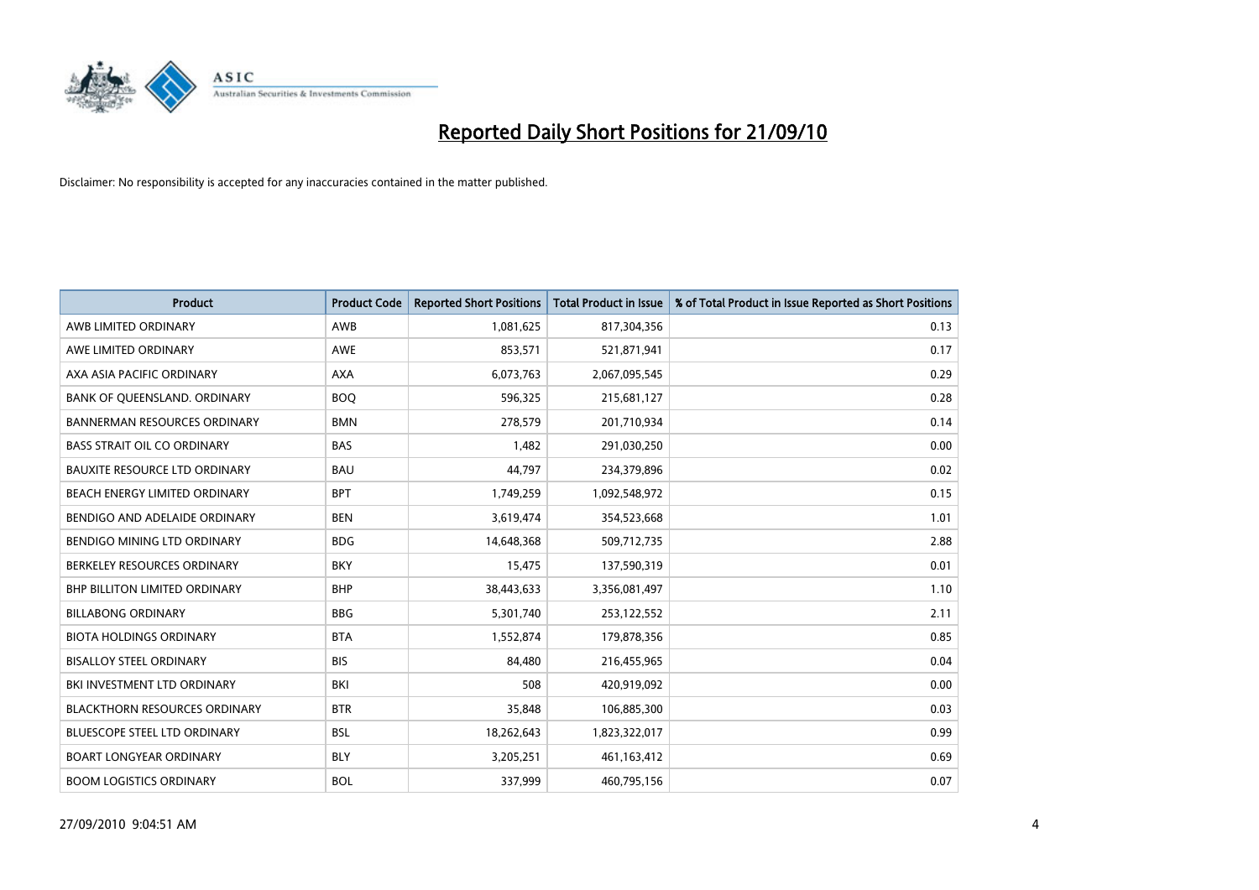

| <b>Product</b>                       | <b>Product Code</b> | <b>Reported Short Positions</b> | <b>Total Product in Issue</b> | % of Total Product in Issue Reported as Short Positions |
|--------------------------------------|---------------------|---------------------------------|-------------------------------|---------------------------------------------------------|
| AWB LIMITED ORDINARY                 | AWB                 | 1,081,625                       | 817,304,356                   | 0.13                                                    |
| AWE LIMITED ORDINARY                 | <b>AWE</b>          | 853,571                         | 521,871,941                   | 0.17                                                    |
| AXA ASIA PACIFIC ORDINARY            | <b>AXA</b>          | 6,073,763                       | 2,067,095,545                 | 0.29                                                    |
| BANK OF QUEENSLAND. ORDINARY         | <b>BOO</b>          | 596,325                         | 215,681,127                   | 0.28                                                    |
| <b>BANNERMAN RESOURCES ORDINARY</b>  | <b>BMN</b>          | 278,579                         | 201,710,934                   | 0.14                                                    |
| <b>BASS STRAIT OIL CO ORDINARY</b>   | <b>BAS</b>          | 1,482                           | 291,030,250                   | 0.00                                                    |
| <b>BAUXITE RESOURCE LTD ORDINARY</b> | <b>BAU</b>          | 44.797                          | 234,379,896                   | 0.02                                                    |
| BEACH ENERGY LIMITED ORDINARY        | <b>BPT</b>          | 1,749,259                       | 1,092,548,972                 | 0.15                                                    |
| BENDIGO AND ADELAIDE ORDINARY        | <b>BEN</b>          | 3,619,474                       | 354,523,668                   | 1.01                                                    |
| BENDIGO MINING LTD ORDINARY          | <b>BDG</b>          | 14,648,368                      | 509,712,735                   | 2.88                                                    |
| BERKELEY RESOURCES ORDINARY          | <b>BKY</b>          | 15,475                          | 137,590,319                   | 0.01                                                    |
| <b>BHP BILLITON LIMITED ORDINARY</b> | <b>BHP</b>          | 38,443,633                      | 3,356,081,497                 | 1.10                                                    |
| <b>BILLABONG ORDINARY</b>            | <b>BBG</b>          | 5,301,740                       | 253,122,552                   | 2.11                                                    |
| <b>BIOTA HOLDINGS ORDINARY</b>       | <b>BTA</b>          | 1,552,874                       | 179,878,356                   | 0.85                                                    |
| <b>BISALLOY STEEL ORDINARY</b>       | <b>BIS</b>          | 84,480                          | 216,455,965                   | 0.04                                                    |
| BKI INVESTMENT LTD ORDINARY          | BKI                 | 508                             | 420,919,092                   | 0.00                                                    |
| <b>BLACKTHORN RESOURCES ORDINARY</b> | <b>BTR</b>          | 35,848                          | 106,885,300                   | 0.03                                                    |
| BLUESCOPE STEEL LTD ORDINARY         | <b>BSL</b>          | 18,262,643                      | 1,823,322,017                 | 0.99                                                    |
| <b>BOART LONGYEAR ORDINARY</b>       | <b>BLY</b>          | 3,205,251                       | 461,163,412                   | 0.69                                                    |
| <b>BOOM LOGISTICS ORDINARY</b>       | <b>BOL</b>          | 337,999                         | 460,795,156                   | 0.07                                                    |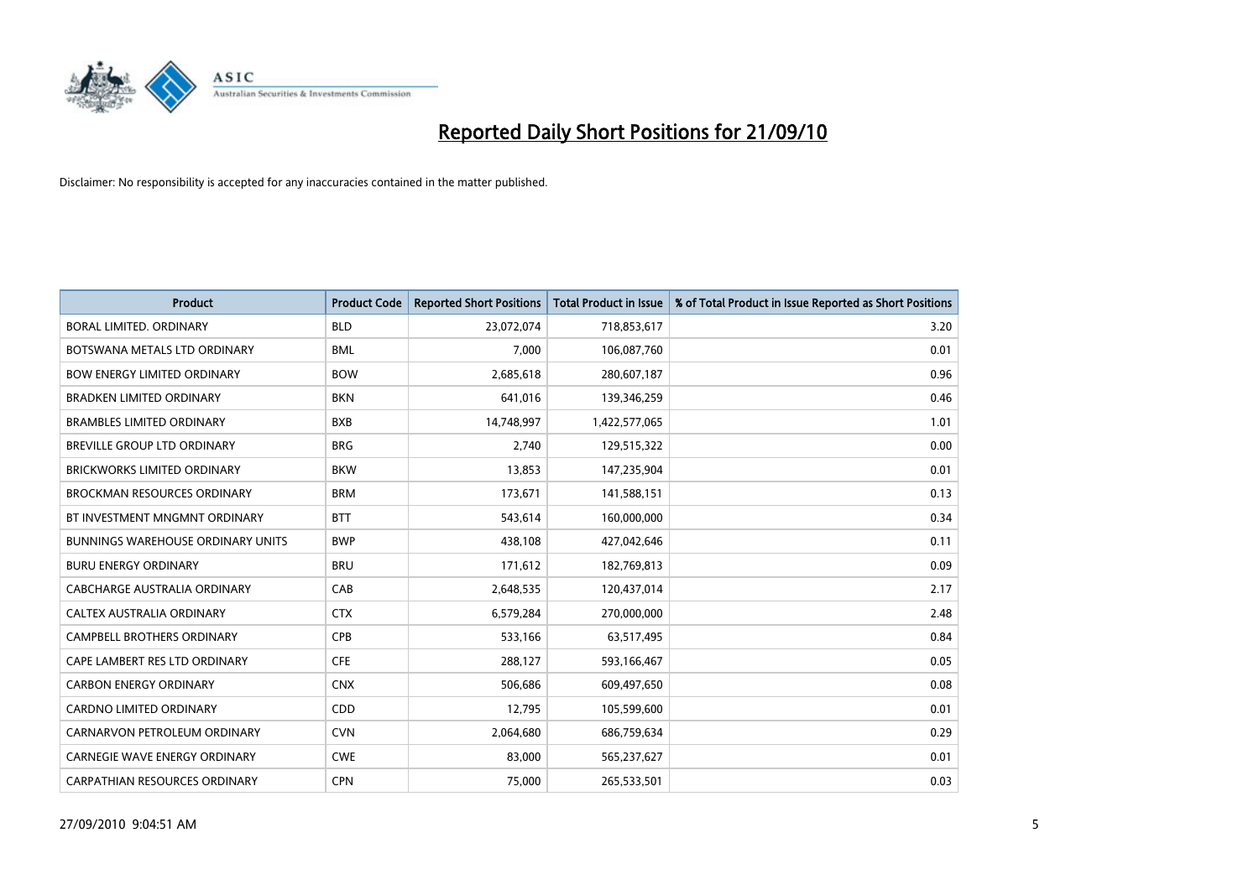

| <b>Product</b>                           | <b>Product Code</b> | <b>Reported Short Positions</b> | <b>Total Product in Issue</b> | % of Total Product in Issue Reported as Short Positions |
|------------------------------------------|---------------------|---------------------------------|-------------------------------|---------------------------------------------------------|
| BORAL LIMITED, ORDINARY                  | <b>BLD</b>          | 23,072,074                      | 718,853,617                   | 3.20                                                    |
| BOTSWANA METALS LTD ORDINARY             | <b>BML</b>          | 7,000                           | 106,087,760                   | 0.01                                                    |
| <b>BOW ENERGY LIMITED ORDINARY</b>       | <b>BOW</b>          | 2,685,618                       | 280,607,187                   | 0.96                                                    |
| BRADKEN LIMITED ORDINARY                 | <b>BKN</b>          | 641,016                         | 139,346,259                   | 0.46                                                    |
| <b>BRAMBLES LIMITED ORDINARY</b>         | <b>BXB</b>          | 14,748,997                      | 1,422,577,065                 | 1.01                                                    |
| <b>BREVILLE GROUP LTD ORDINARY</b>       | <b>BRG</b>          | 2,740                           | 129,515,322                   | 0.00                                                    |
| <b>BRICKWORKS LIMITED ORDINARY</b>       | <b>BKW</b>          | 13,853                          | 147,235,904                   | 0.01                                                    |
| <b>BROCKMAN RESOURCES ORDINARY</b>       | <b>BRM</b>          | 173,671                         | 141,588,151                   | 0.13                                                    |
| BT INVESTMENT MNGMNT ORDINARY            | <b>BTT</b>          | 543,614                         | 160,000,000                   | 0.34                                                    |
| <b>BUNNINGS WAREHOUSE ORDINARY UNITS</b> | <b>BWP</b>          | 438,108                         | 427,042,646                   | 0.11                                                    |
| <b>BURU ENERGY ORDINARY</b>              | <b>BRU</b>          | 171,612                         | 182,769,813                   | 0.09                                                    |
| CABCHARGE AUSTRALIA ORDINARY             | CAB                 | 2,648,535                       | 120,437,014                   | 2.17                                                    |
| <b>CALTEX AUSTRALIA ORDINARY</b>         | <b>CTX</b>          | 6,579,284                       | 270,000,000                   | 2.48                                                    |
| <b>CAMPBELL BROTHERS ORDINARY</b>        | CPB                 | 533,166                         | 63,517,495                    | 0.84                                                    |
| CAPE LAMBERT RES LTD ORDINARY            | <b>CFE</b>          | 288,127                         | 593,166,467                   | 0.05                                                    |
| <b>CARBON ENERGY ORDINARY</b>            | <b>CNX</b>          | 506.686                         | 609,497,650                   | 0.08                                                    |
| <b>CARDNO LIMITED ORDINARY</b>           | CDD                 | 12,795                          | 105,599,600                   | 0.01                                                    |
| CARNARVON PETROLEUM ORDINARY             | <b>CVN</b>          | 2,064,680                       | 686,759,634                   | 0.29                                                    |
| <b>CARNEGIE WAVE ENERGY ORDINARY</b>     | <b>CWE</b>          | 83,000                          | 565,237,627                   | 0.01                                                    |
| CARPATHIAN RESOURCES ORDINARY            | <b>CPN</b>          | 75,000                          | 265,533,501                   | 0.03                                                    |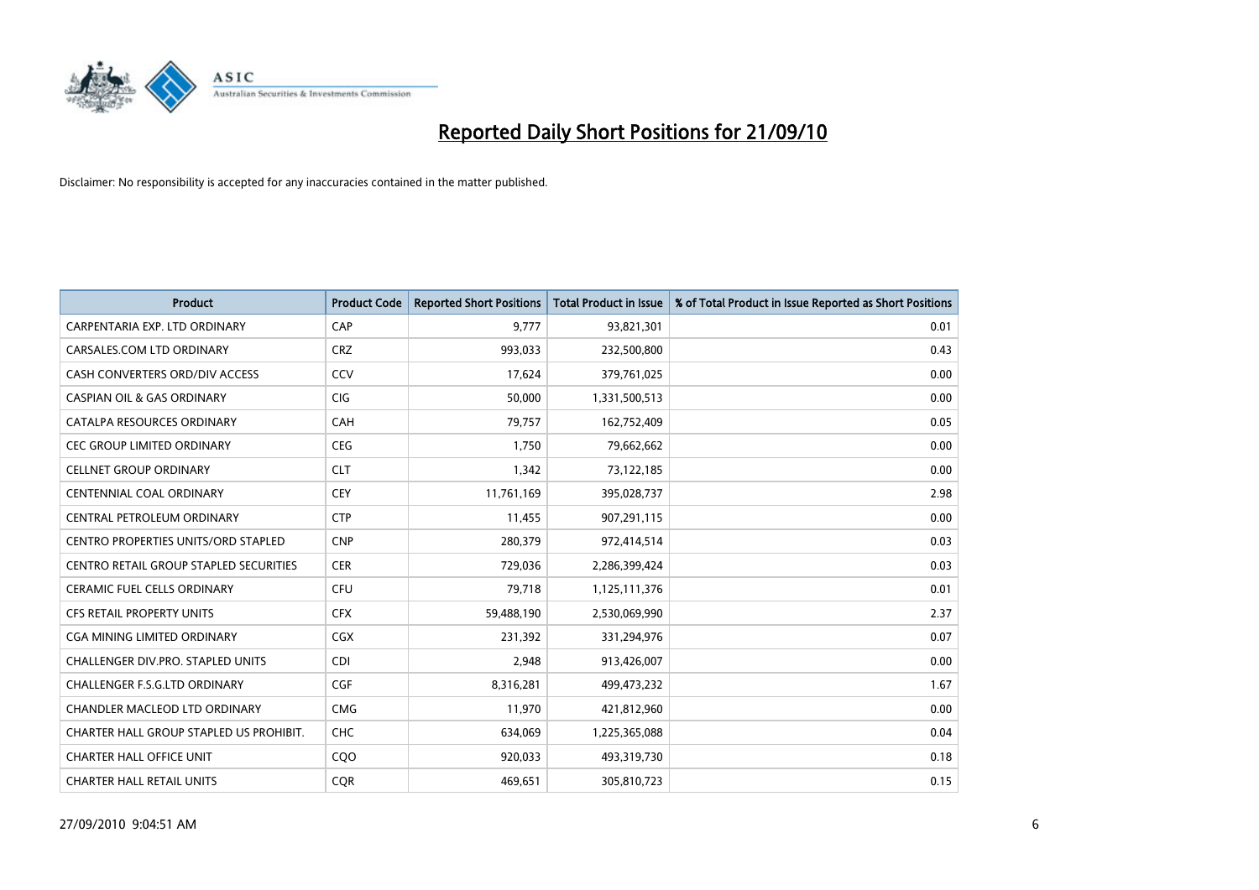

| <b>Product</b>                                | <b>Product Code</b> | <b>Reported Short Positions</b> | <b>Total Product in Issue</b> | % of Total Product in Issue Reported as Short Positions |
|-----------------------------------------------|---------------------|---------------------------------|-------------------------------|---------------------------------------------------------|
| CARPENTARIA EXP. LTD ORDINARY                 | CAP                 | 9,777                           | 93,821,301                    | 0.01                                                    |
| CARSALES.COM LTD ORDINARY                     | <b>CRZ</b>          | 993,033                         | 232,500,800                   | 0.43                                                    |
| CASH CONVERTERS ORD/DIV ACCESS                | CCV                 | 17,624                          | 379,761,025                   | 0.00                                                    |
| <b>CASPIAN OIL &amp; GAS ORDINARY</b>         | <b>CIG</b>          | 50,000                          | 1,331,500,513                 | 0.00                                                    |
| CATALPA RESOURCES ORDINARY                    | CAH                 | 79,757                          | 162,752,409                   | 0.05                                                    |
| <b>CEC GROUP LIMITED ORDINARY</b>             | <b>CEG</b>          | 1,750                           | 79,662,662                    | 0.00                                                    |
| <b>CELLNET GROUP ORDINARY</b>                 | <b>CLT</b>          | 1,342                           | 73,122,185                    | 0.00                                                    |
| <b>CENTENNIAL COAL ORDINARY</b>               | <b>CEY</b>          | 11,761,169                      | 395,028,737                   | 2.98                                                    |
| CENTRAL PETROLEUM ORDINARY                    | <b>CTP</b>          | 11,455                          | 907,291,115                   | 0.00                                                    |
| <b>CENTRO PROPERTIES UNITS/ORD STAPLED</b>    | <b>CNP</b>          | 280,379                         | 972,414,514                   | 0.03                                                    |
| <b>CENTRO RETAIL GROUP STAPLED SECURITIES</b> | <b>CER</b>          | 729,036                         | 2,286,399,424                 | 0.03                                                    |
| <b>CERAMIC FUEL CELLS ORDINARY</b>            | <b>CFU</b>          | 79,718                          | 1,125,111,376                 | 0.01                                                    |
| <b>CFS RETAIL PROPERTY UNITS</b>              | <b>CFX</b>          | 59,488,190                      | 2,530,069,990                 | 2.37                                                    |
| <b>CGA MINING LIMITED ORDINARY</b>            | <b>CGX</b>          | 231,392                         | 331,294,976                   | 0.07                                                    |
| <b>CHALLENGER DIV.PRO. STAPLED UNITS</b>      | <b>CDI</b>          | 2,948                           | 913,426,007                   | 0.00                                                    |
| <b>CHALLENGER F.S.G.LTD ORDINARY</b>          | CGF                 | 8,316,281                       | 499,473,232                   | 1.67                                                    |
| CHANDLER MACLEOD LTD ORDINARY                 | <b>CMG</b>          | 11,970                          | 421,812,960                   | 0.00                                                    |
| CHARTER HALL GROUP STAPLED US PROHIBIT.       | CHC                 | 634,069                         | 1,225,365,088                 | 0.04                                                    |
| <b>CHARTER HALL OFFICE UNIT</b>               | C <sub>O</sub> O    | 920,033                         | 493,319,730                   | 0.18                                                    |
| <b>CHARTER HALL RETAIL UNITS</b>              | <b>COR</b>          | 469,651                         | 305,810,723                   | 0.15                                                    |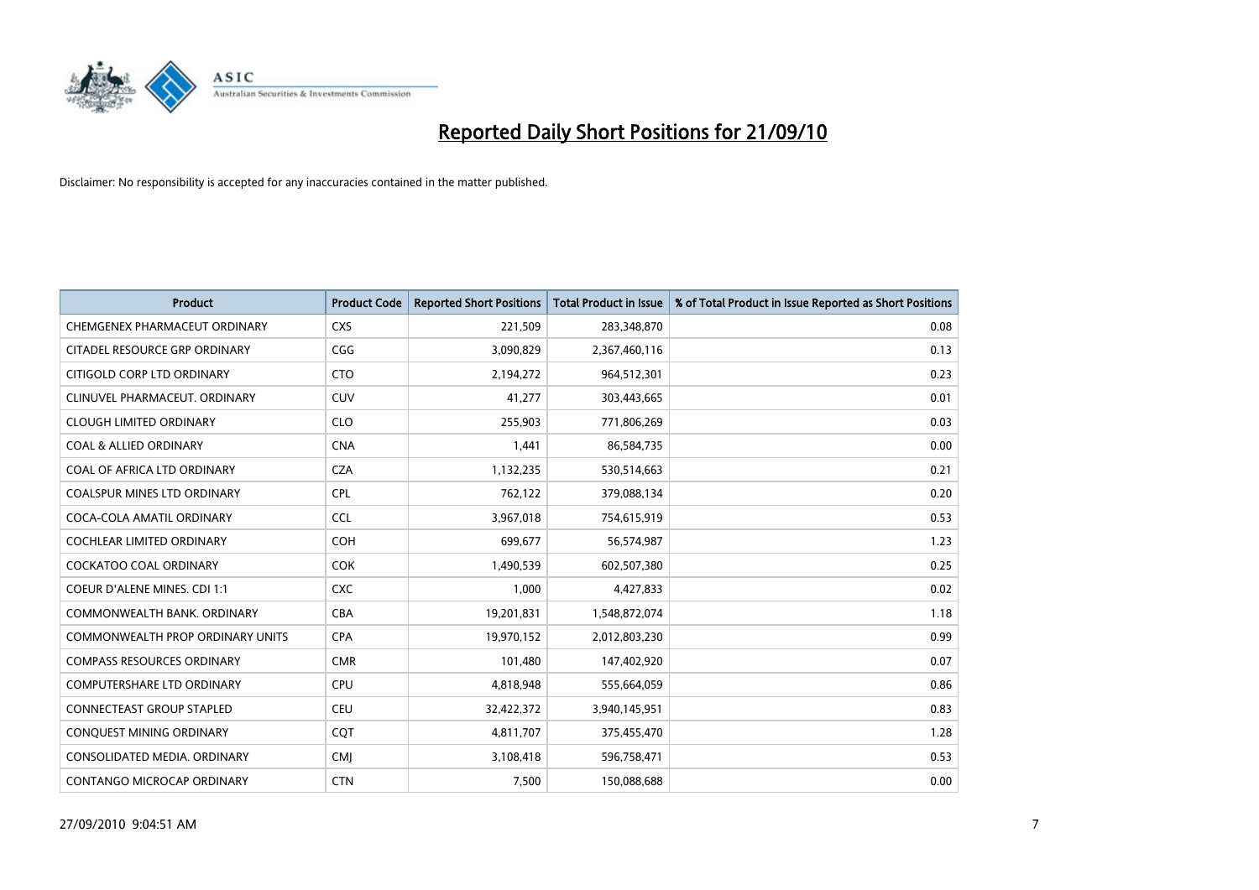

| <b>Product</b>                      | <b>Product Code</b> | <b>Reported Short Positions</b> | <b>Total Product in Issue</b> | % of Total Product in Issue Reported as Short Positions |
|-------------------------------------|---------------------|---------------------------------|-------------------------------|---------------------------------------------------------|
| CHEMGENEX PHARMACEUT ORDINARY       | <b>CXS</b>          | 221,509                         | 283,348,870                   | 0.08                                                    |
| CITADEL RESOURCE GRP ORDINARY       | CGG                 | 3,090,829                       | 2,367,460,116                 | 0.13                                                    |
| CITIGOLD CORP LTD ORDINARY          | <b>CTO</b>          | 2,194,272                       | 964,512,301                   | 0.23                                                    |
| CLINUVEL PHARMACEUT. ORDINARY       | <b>CUV</b>          | 41,277                          | 303,443,665                   | 0.01                                                    |
| <b>CLOUGH LIMITED ORDINARY</b>      | <b>CLO</b>          | 255,903                         | 771,806,269                   | 0.03                                                    |
| <b>COAL &amp; ALLIED ORDINARY</b>   | <b>CNA</b>          | 1,441                           | 86,584,735                    | 0.00                                                    |
| COAL OF AFRICA LTD ORDINARY         | <b>CZA</b>          | 1,132,235                       | 530,514,663                   | 0.21                                                    |
| COALSPUR MINES LTD ORDINARY         | <b>CPL</b>          | 762,122                         | 379,088,134                   | 0.20                                                    |
| COCA-COLA AMATIL ORDINARY           | <b>CCL</b>          | 3,967,018                       | 754,615,919                   | 0.53                                                    |
| <b>COCHLEAR LIMITED ORDINARY</b>    | <b>COH</b>          | 699,677                         | 56,574,987                    | 1.23                                                    |
| COCKATOO COAL ORDINARY              | <b>COK</b>          | 1,490,539                       | 602,507,380                   | 0.25                                                    |
| <b>COEUR D'ALENE MINES. CDI 1:1</b> | <b>CXC</b>          | 1,000                           | 4,427,833                     | 0.02                                                    |
| COMMONWEALTH BANK, ORDINARY         | <b>CBA</b>          | 19,201,831                      | 1,548,872,074                 | 1.18                                                    |
| COMMONWEALTH PROP ORDINARY UNITS    | <b>CPA</b>          | 19,970,152                      | 2,012,803,230                 | 0.99                                                    |
| <b>COMPASS RESOURCES ORDINARY</b>   | <b>CMR</b>          | 101,480                         | 147,402,920                   | 0.07                                                    |
| <b>COMPUTERSHARE LTD ORDINARY</b>   | <b>CPU</b>          | 4,818,948                       | 555,664,059                   | 0.86                                                    |
| CONNECTEAST GROUP STAPLED           | CEU                 | 32,422,372                      | 3,940,145,951                 | 0.83                                                    |
| CONQUEST MINING ORDINARY            | CQT                 | 4,811,707                       | 375,455,470                   | 1.28                                                    |
| CONSOLIDATED MEDIA, ORDINARY        | <b>CMI</b>          | 3,108,418                       | 596,758,471                   | 0.53                                                    |
| CONTANGO MICROCAP ORDINARY          | <b>CTN</b>          | 7,500                           | 150,088,688                   | 0.00                                                    |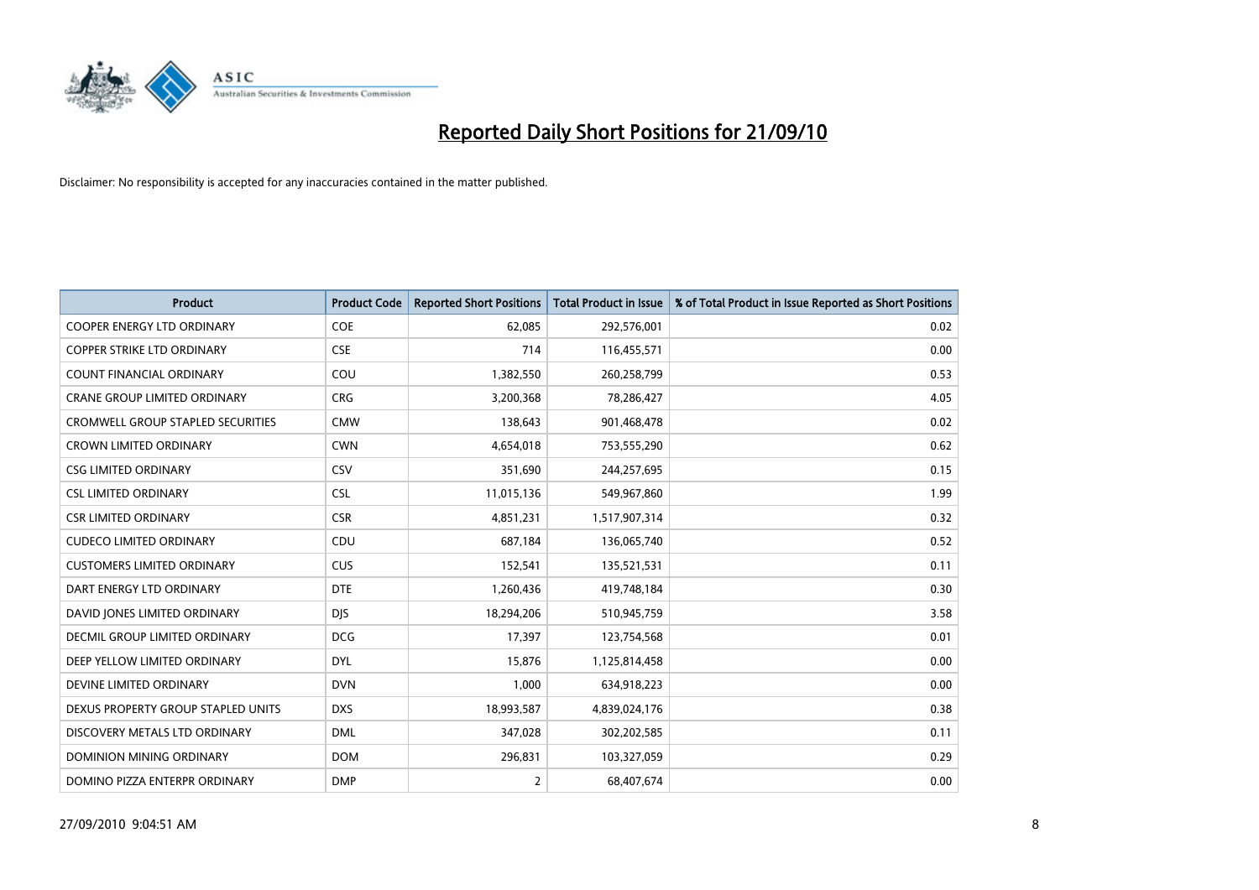

| <b>Product</b>                           | <b>Product Code</b> | <b>Reported Short Positions</b> | Total Product in Issue | % of Total Product in Issue Reported as Short Positions |
|------------------------------------------|---------------------|---------------------------------|------------------------|---------------------------------------------------------|
| <b>COOPER ENERGY LTD ORDINARY</b>        | <b>COE</b>          | 62,085                          | 292,576,001            | 0.02                                                    |
| COPPER STRIKE LTD ORDINARY               | <b>CSE</b>          | 714                             | 116,455,571            | 0.00                                                    |
| <b>COUNT FINANCIAL ORDINARY</b>          | COU                 | 1,382,550                       | 260,258,799            | 0.53                                                    |
| CRANE GROUP LIMITED ORDINARY             | <b>CRG</b>          | 3,200,368                       | 78,286,427             | 4.05                                                    |
| <b>CROMWELL GROUP STAPLED SECURITIES</b> | <b>CMW</b>          | 138,643                         | 901,468,478            | 0.02                                                    |
| <b>CROWN LIMITED ORDINARY</b>            | <b>CWN</b>          | 4,654,018                       | 753,555,290            | 0.62                                                    |
| <b>CSG LIMITED ORDINARY</b>              | CSV                 | 351,690                         | 244,257,695            | 0.15                                                    |
| <b>CSL LIMITED ORDINARY</b>              | <b>CSL</b>          | 11,015,136                      | 549,967,860            | 1.99                                                    |
| <b>CSR LIMITED ORDINARY</b>              | <b>CSR</b>          | 4,851,231                       | 1,517,907,314          | 0.32                                                    |
| <b>CUDECO LIMITED ORDINARY</b>           | CDU                 | 687,184                         | 136,065,740            | 0.52                                                    |
| <b>CUSTOMERS LIMITED ORDINARY</b>        | CUS                 | 152,541                         | 135,521,531            | 0.11                                                    |
| DART ENERGY LTD ORDINARY                 | <b>DTE</b>          | 1,260,436                       | 419,748,184            | 0.30                                                    |
| DAVID JONES LIMITED ORDINARY             | <b>DJS</b>          | 18,294,206                      | 510,945,759            | 3.58                                                    |
| <b>DECMIL GROUP LIMITED ORDINARY</b>     | <b>DCG</b>          | 17,397                          | 123,754,568            | 0.01                                                    |
| DEEP YELLOW LIMITED ORDINARY             | <b>DYL</b>          | 15,876                          | 1,125,814,458          | 0.00                                                    |
| DEVINE LIMITED ORDINARY                  | <b>DVN</b>          | 1,000                           | 634,918,223            | 0.00                                                    |
| DEXUS PROPERTY GROUP STAPLED UNITS       | <b>DXS</b>          | 18,993,587                      | 4,839,024,176          | 0.38                                                    |
| DISCOVERY METALS LTD ORDINARY            | <b>DML</b>          | 347,028                         | 302,202,585            | 0.11                                                    |
| DOMINION MINING ORDINARY                 | <b>DOM</b>          | 296,831                         | 103,327,059            | 0.29                                                    |
| DOMINO PIZZA ENTERPR ORDINARY            | <b>DMP</b>          | $\overline{2}$                  | 68,407,674             | 0.00                                                    |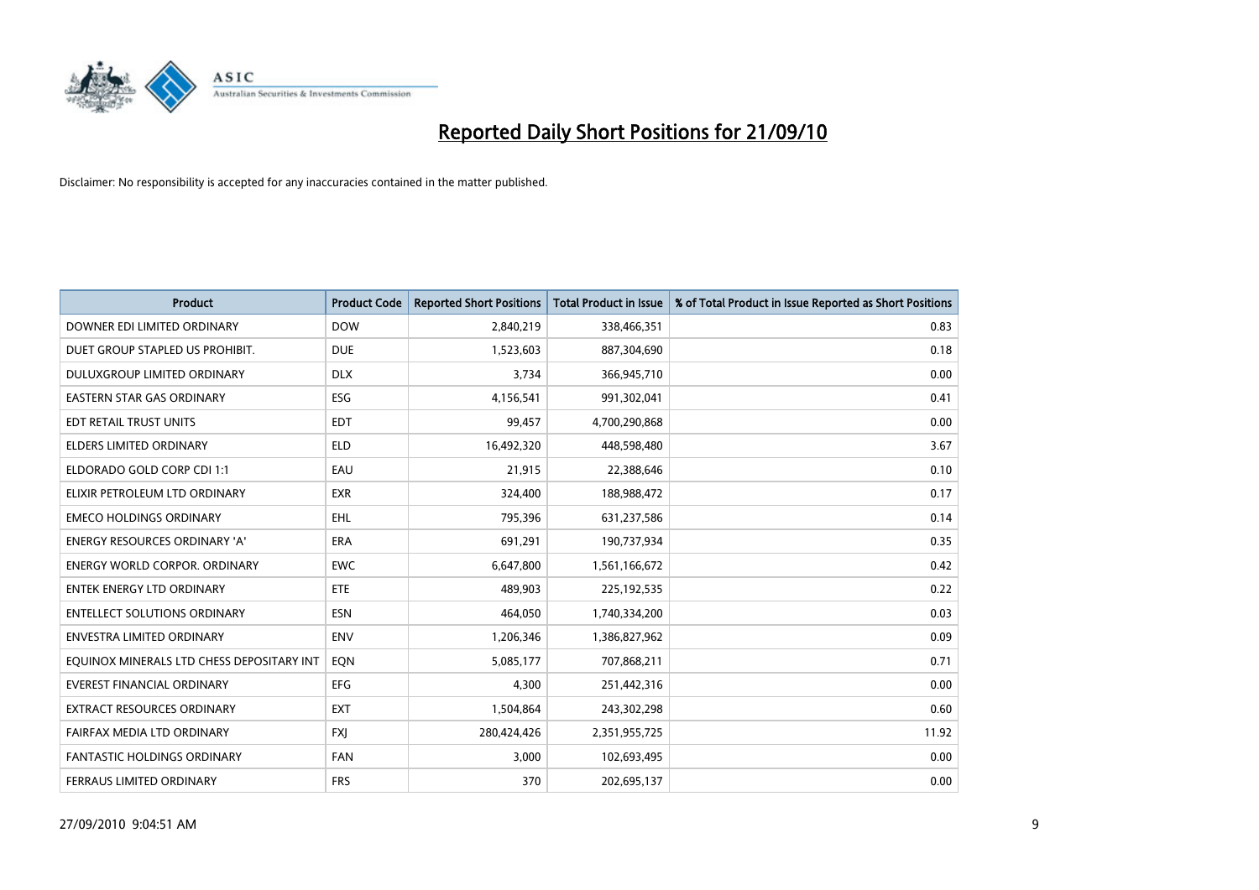

| <b>Product</b>                            | <b>Product Code</b> | <b>Reported Short Positions</b> | <b>Total Product in Issue</b> | % of Total Product in Issue Reported as Short Positions |
|-------------------------------------------|---------------------|---------------------------------|-------------------------------|---------------------------------------------------------|
| DOWNER EDI LIMITED ORDINARY               | <b>DOW</b>          | 2,840,219                       | 338,466,351                   | 0.83                                                    |
| DUET GROUP STAPLED US PROHIBIT.           | <b>DUE</b>          | 1,523,603                       | 887,304,690                   | 0.18                                                    |
| DULUXGROUP LIMITED ORDINARY               | <b>DLX</b>          | 3,734                           | 366,945,710                   | 0.00                                                    |
| EASTERN STAR GAS ORDINARY                 | ESG                 | 4,156,541                       | 991,302,041                   | 0.41                                                    |
| EDT RETAIL TRUST UNITS                    | <b>EDT</b>          | 99,457                          | 4,700,290,868                 | 0.00                                                    |
| <b>ELDERS LIMITED ORDINARY</b>            | <b>ELD</b>          | 16,492,320                      | 448,598,480                   | 3.67                                                    |
| ELDORADO GOLD CORP CDI 1:1                | EAU                 | 21,915                          | 22,388,646                    | 0.10                                                    |
| ELIXIR PETROLEUM LTD ORDINARY             | <b>EXR</b>          | 324,400                         | 188,988,472                   | 0.17                                                    |
| <b>EMECO HOLDINGS ORDINARY</b>            | <b>EHL</b>          | 795,396                         | 631,237,586                   | 0.14                                                    |
| <b>ENERGY RESOURCES ORDINARY 'A'</b>      | <b>ERA</b>          | 691,291                         | 190,737,934                   | 0.35                                                    |
| <b>ENERGY WORLD CORPOR, ORDINARY</b>      | <b>EWC</b>          | 6,647,800                       | 1,561,166,672                 | 0.42                                                    |
| <b>ENTEK ENERGY LTD ORDINARY</b>          | <b>ETE</b>          | 489,903                         | 225,192,535                   | 0.22                                                    |
| <b>ENTELLECT SOLUTIONS ORDINARY</b>       | <b>ESN</b>          | 464.050                         | 1,740,334,200                 | 0.03                                                    |
| <b>ENVESTRA LIMITED ORDINARY</b>          | <b>ENV</b>          | 1,206,346                       | 1,386,827,962                 | 0.09                                                    |
| EQUINOX MINERALS LTD CHESS DEPOSITARY INT | EON                 | 5,085,177                       | 707,868,211                   | 0.71                                                    |
| <b>EVEREST FINANCIAL ORDINARY</b>         | <b>EFG</b>          | 4,300                           | 251,442,316                   | 0.00                                                    |
| <b>EXTRACT RESOURCES ORDINARY</b>         | <b>EXT</b>          | 1,504,864                       | 243,302,298                   | 0.60                                                    |
| FAIRFAX MEDIA LTD ORDINARY                | <b>FXI</b>          | 280,424,426                     | 2,351,955,725                 | 11.92                                                   |
| <b>FANTASTIC HOLDINGS ORDINARY</b>        | <b>FAN</b>          | 3,000                           | 102,693,495                   | 0.00                                                    |
| FERRAUS LIMITED ORDINARY                  | <b>FRS</b>          | 370                             | 202,695,137                   | 0.00                                                    |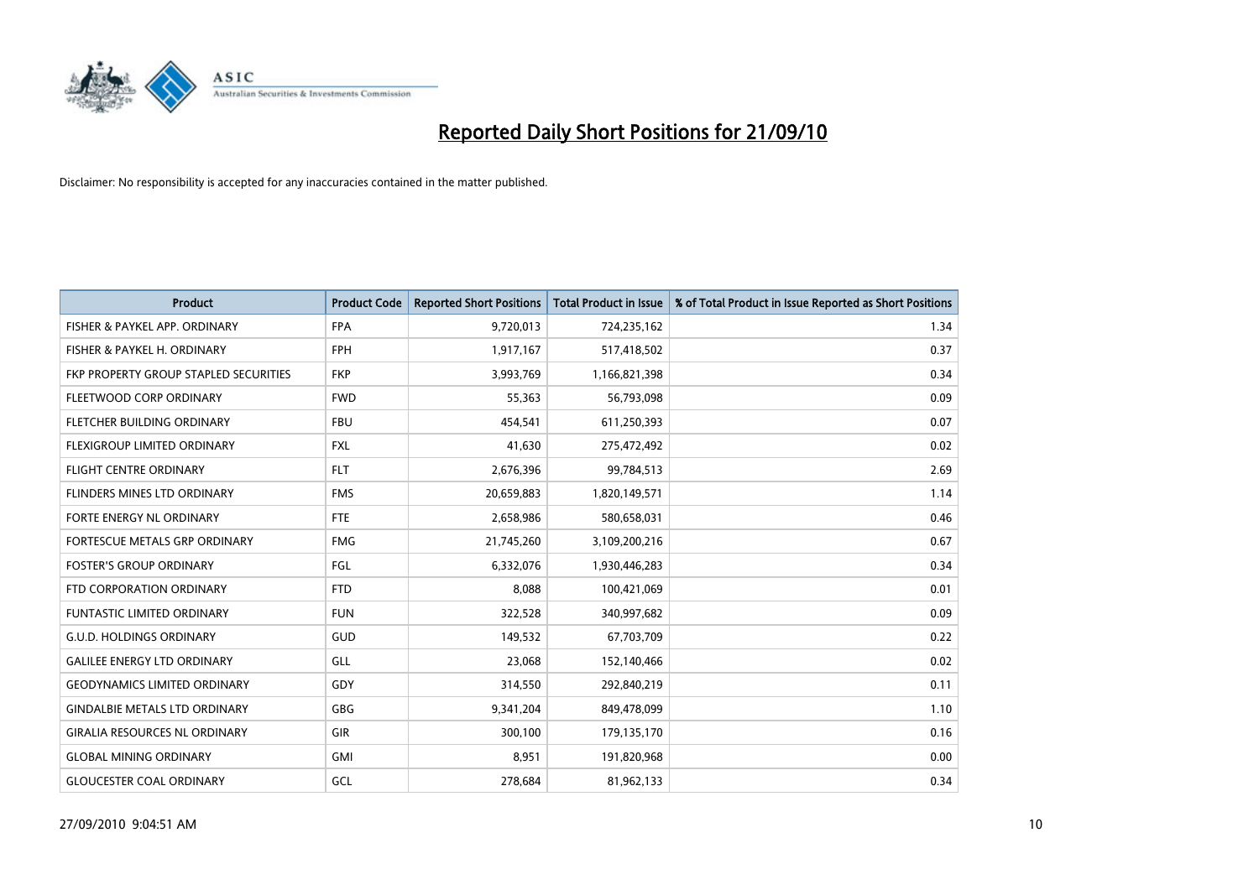

| <b>Product</b>                        | <b>Product Code</b> | <b>Reported Short Positions</b> | <b>Total Product in Issue</b> | % of Total Product in Issue Reported as Short Positions |
|---------------------------------------|---------------------|---------------------------------|-------------------------------|---------------------------------------------------------|
| FISHER & PAYKEL APP. ORDINARY         | <b>FPA</b>          | 9,720,013                       | 724,235,162                   | 1.34                                                    |
| FISHER & PAYKEL H. ORDINARY           | <b>FPH</b>          | 1,917,167                       | 517,418,502                   | 0.37                                                    |
| FKP PROPERTY GROUP STAPLED SECURITIES | <b>FKP</b>          | 3,993,769                       | 1,166,821,398                 | 0.34                                                    |
| FLEETWOOD CORP ORDINARY               | <b>FWD</b>          | 55,363                          | 56,793,098                    | 0.09                                                    |
| FLETCHER BUILDING ORDINARY            | <b>FBU</b>          | 454,541                         | 611,250,393                   | 0.07                                                    |
| FLEXIGROUP LIMITED ORDINARY           | <b>FXL</b>          | 41,630                          | 275,472,492                   | 0.02                                                    |
| <b>FLIGHT CENTRE ORDINARY</b>         | <b>FLT</b>          | 2,676,396                       | 99,784,513                    | 2.69                                                    |
| FLINDERS MINES LTD ORDINARY           | <b>FMS</b>          | 20,659,883                      | 1,820,149,571                 | 1.14                                                    |
| <b>FORTE ENERGY NL ORDINARY</b>       | <b>FTE</b>          | 2,658,986                       | 580,658,031                   | 0.46                                                    |
| FORTESCUE METALS GRP ORDINARY         | <b>FMG</b>          | 21,745,260                      | 3,109,200,216                 | 0.67                                                    |
| <b>FOSTER'S GROUP ORDINARY</b>        | FGL                 | 6,332,076                       | 1,930,446,283                 | 0.34                                                    |
| FTD CORPORATION ORDINARY              | <b>FTD</b>          | 8,088                           | 100,421,069                   | 0.01                                                    |
| <b>FUNTASTIC LIMITED ORDINARY</b>     | <b>FUN</b>          | 322,528                         | 340,997,682                   | 0.09                                                    |
| <b>G.U.D. HOLDINGS ORDINARY</b>       | GUD                 | 149,532                         | 67,703,709                    | 0.22                                                    |
| <b>GALILEE ENERGY LTD ORDINARY</b>    | GLL                 | 23,068                          | 152,140,466                   | 0.02                                                    |
| <b>GEODYNAMICS LIMITED ORDINARY</b>   | GDY                 | 314,550                         | 292,840,219                   | 0.11                                                    |
| <b>GINDALBIE METALS LTD ORDINARY</b>  | <b>GBG</b>          | 9,341,204                       | 849,478,099                   | 1.10                                                    |
| <b>GIRALIA RESOURCES NL ORDINARY</b>  | <b>GIR</b>          | 300,100                         | 179,135,170                   | 0.16                                                    |
| <b>GLOBAL MINING ORDINARY</b>         | <b>GMI</b>          | 8,951                           | 191,820,968                   | 0.00                                                    |
| <b>GLOUCESTER COAL ORDINARY</b>       | GCL                 | 278.684                         | 81,962,133                    | 0.34                                                    |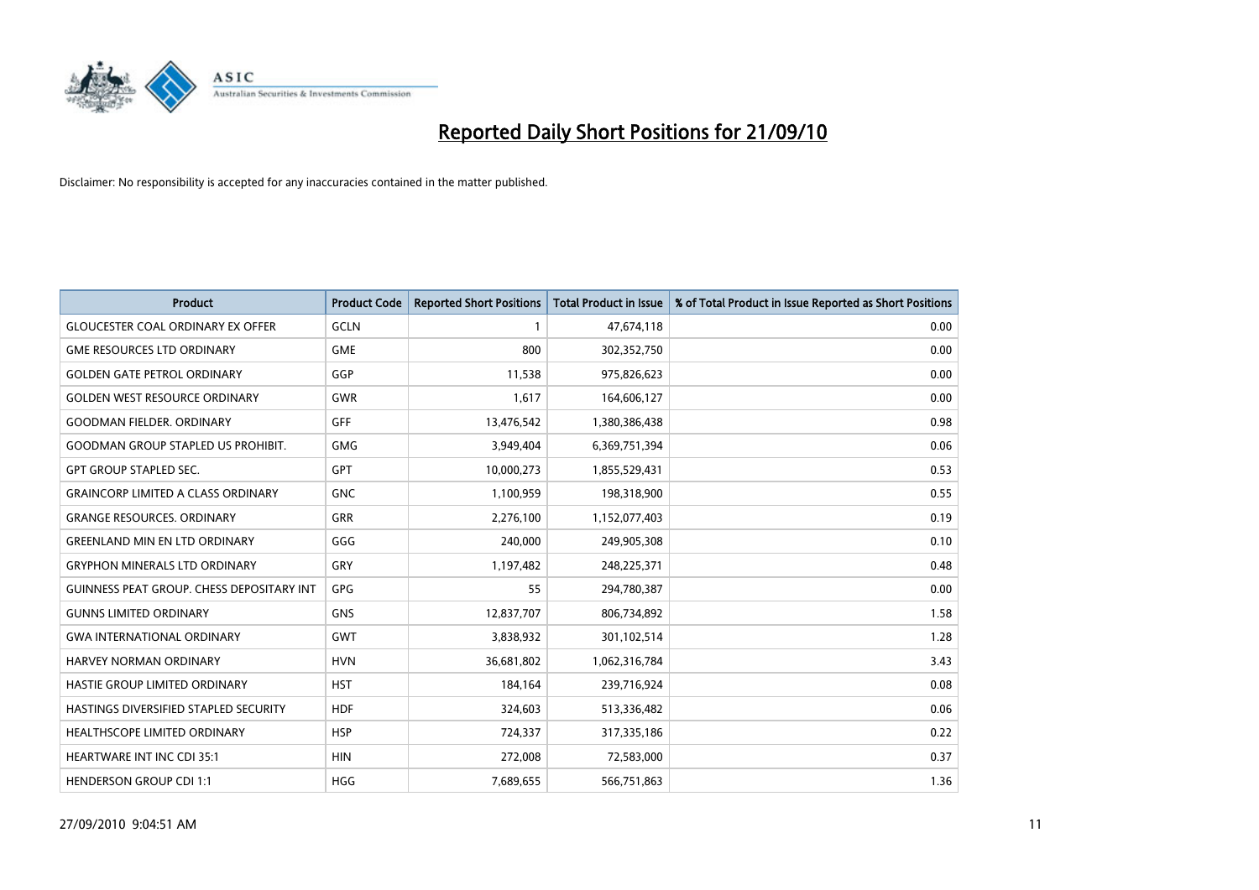

| <b>Product</b>                                   | <b>Product Code</b> | <b>Reported Short Positions</b> | <b>Total Product in Issue</b> | % of Total Product in Issue Reported as Short Positions |
|--------------------------------------------------|---------------------|---------------------------------|-------------------------------|---------------------------------------------------------|
| <b>GLOUCESTER COAL ORDINARY EX OFFER</b>         | <b>GCLN</b>         |                                 | 47,674,118                    | 0.00                                                    |
| <b>GME RESOURCES LTD ORDINARY</b>                | <b>GME</b>          | 800                             | 302,352,750                   | 0.00                                                    |
| <b>GOLDEN GATE PETROL ORDINARY</b>               | GGP                 | 11,538                          | 975,826,623                   | 0.00                                                    |
| <b>GOLDEN WEST RESOURCE ORDINARY</b>             | <b>GWR</b>          | 1,617                           | 164,606,127                   | 0.00                                                    |
| <b>GOODMAN FIELDER, ORDINARY</b>                 | <b>GFF</b>          | 13,476,542                      | 1,380,386,438                 | 0.98                                                    |
| <b>GOODMAN GROUP STAPLED US PROHIBIT.</b>        | <b>GMG</b>          | 3,949,404                       | 6,369,751,394                 | 0.06                                                    |
| <b>GPT GROUP STAPLED SEC.</b>                    | <b>GPT</b>          | 10,000,273                      | 1,855,529,431                 | 0.53                                                    |
| <b>GRAINCORP LIMITED A CLASS ORDINARY</b>        | <b>GNC</b>          | 1,100,959                       | 198,318,900                   | 0.55                                                    |
| <b>GRANGE RESOURCES, ORDINARY</b>                | <b>GRR</b>          | 2,276,100                       | 1,152,077,403                 | 0.19                                                    |
| <b>GREENLAND MIN EN LTD ORDINARY</b>             | GGG                 | 240,000                         | 249,905,308                   | 0.10                                                    |
| <b>GRYPHON MINERALS LTD ORDINARY</b>             | GRY                 | 1,197,482                       | 248,225,371                   | 0.48                                                    |
| <b>GUINNESS PEAT GROUP. CHESS DEPOSITARY INT</b> | GPG                 | 55                              | 294,780,387                   | 0.00                                                    |
| <b>GUNNS LIMITED ORDINARY</b>                    | <b>GNS</b>          | 12,837,707                      | 806,734,892                   | 1.58                                                    |
| <b>GWA INTERNATIONAL ORDINARY</b>                | <b>GWT</b>          | 3,838,932                       | 301,102,514                   | 1.28                                                    |
| <b>HARVEY NORMAN ORDINARY</b>                    | <b>HVN</b>          | 36,681,802                      | 1,062,316,784                 | 3.43                                                    |
| HASTIE GROUP LIMITED ORDINARY                    | <b>HST</b>          | 184,164                         | 239,716,924                   | 0.08                                                    |
| HASTINGS DIVERSIFIED STAPLED SECURITY            | <b>HDF</b>          | 324,603                         | 513,336,482                   | 0.06                                                    |
| HEALTHSCOPE LIMITED ORDINARY                     | <b>HSP</b>          | 724,337                         | 317,335,186                   | 0.22                                                    |
| <b>HEARTWARE INT INC CDI 35:1</b>                | <b>HIN</b>          | 272,008                         | 72,583,000                    | 0.37                                                    |
| <b>HENDERSON GROUP CDI 1:1</b>                   | <b>HGG</b>          | 7,689,655                       | 566,751,863                   | 1.36                                                    |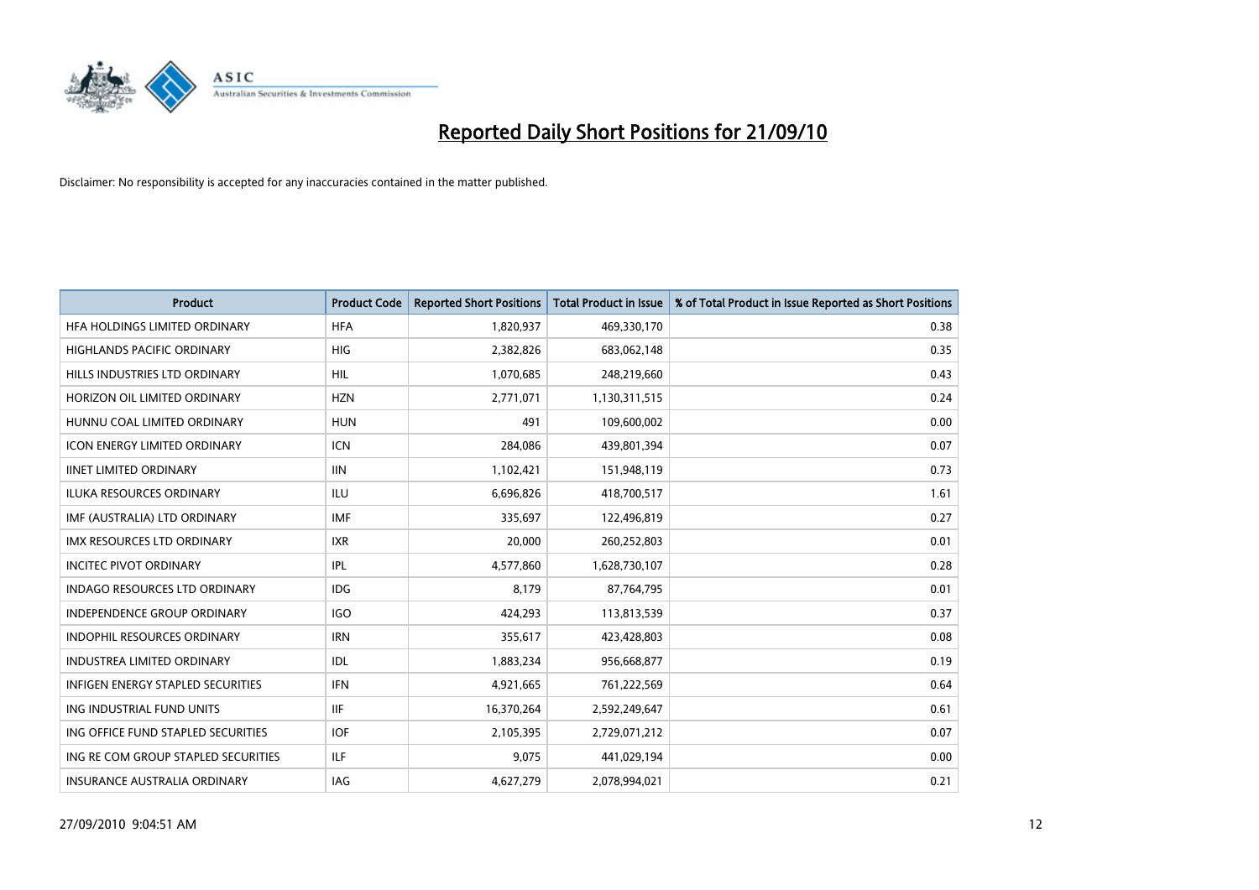

| <b>Product</b>                           | <b>Product Code</b> | <b>Reported Short Positions</b> | <b>Total Product in Issue</b> | % of Total Product in Issue Reported as Short Positions |
|------------------------------------------|---------------------|---------------------------------|-------------------------------|---------------------------------------------------------|
| HFA HOLDINGS LIMITED ORDINARY            | <b>HFA</b>          | 1,820,937                       | 469,330,170                   | 0.38                                                    |
| HIGHLANDS PACIFIC ORDINARY               | <b>HIG</b>          | 2,382,826                       | 683,062,148                   | 0.35                                                    |
| HILLS INDUSTRIES LTD ORDINARY            | <b>HIL</b>          | 1,070,685                       | 248,219,660                   | 0.43                                                    |
| HORIZON OIL LIMITED ORDINARY             | <b>HZN</b>          | 2,771,071                       | 1,130,311,515                 | 0.24                                                    |
| HUNNU COAL LIMITED ORDINARY              | <b>HUN</b>          | 491                             | 109,600,002                   | 0.00                                                    |
| <b>ICON ENERGY LIMITED ORDINARY</b>      | <b>ICN</b>          | 284,086                         | 439,801,394                   | 0.07                                                    |
| <b>IINET LIMITED ORDINARY</b>            | <b>IIN</b>          | 1,102,421                       | 151,948,119                   | 0.73                                                    |
| ILUKA RESOURCES ORDINARY                 | <b>ILU</b>          | 6,696,826                       | 418,700,517                   | 1.61                                                    |
| IMF (AUSTRALIA) LTD ORDINARY             | <b>IMF</b>          | 335,697                         | 122,496,819                   | 0.27                                                    |
| <b>IMX RESOURCES LTD ORDINARY</b>        | <b>IXR</b>          | 20,000                          | 260,252,803                   | 0.01                                                    |
| <b>INCITEC PIVOT ORDINARY</b>            | <b>IPL</b>          | 4,577,860                       | 1,628,730,107                 | 0.28                                                    |
| <b>INDAGO RESOURCES LTD ORDINARY</b>     | <b>IDG</b>          | 8.179                           | 87,764,795                    | 0.01                                                    |
| INDEPENDENCE GROUP ORDINARY              | <b>IGO</b>          | 424,293                         | 113,813,539                   | 0.37                                                    |
| INDOPHIL RESOURCES ORDINARY              | <b>IRN</b>          | 355,617                         | 423,428,803                   | 0.08                                                    |
| <b>INDUSTREA LIMITED ORDINARY</b>        | IDL                 | 1,883,234                       | 956,668,877                   | 0.19                                                    |
| <b>INFIGEN ENERGY STAPLED SECURITIES</b> | <b>IFN</b>          | 4,921,665                       | 761,222,569                   | 0.64                                                    |
| ING INDUSTRIAL FUND UNITS                | <b>IIF</b>          | 16,370,264                      | 2,592,249,647                 | 0.61                                                    |
| ING OFFICE FUND STAPLED SECURITIES       | <b>IOF</b>          | 2,105,395                       | 2,729,071,212                 | 0.07                                                    |
| ING RE COM GROUP STAPLED SECURITIES      | <b>ILF</b>          | 9,075                           | 441,029,194                   | 0.00                                                    |
| INSURANCE AUSTRALIA ORDINARY             | IAG                 | 4,627,279                       | 2,078,994,021                 | 0.21                                                    |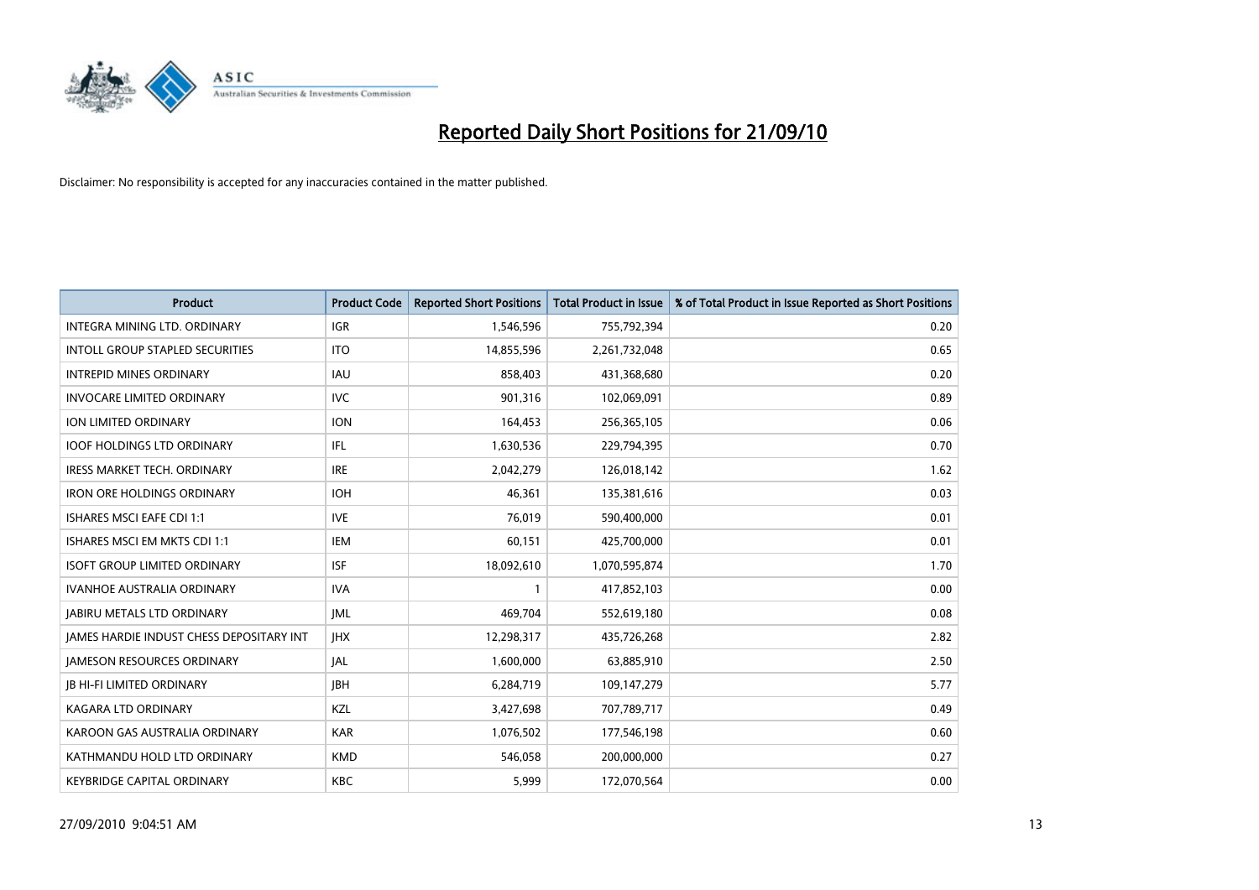

| <b>Product</b>                                  | <b>Product Code</b> | <b>Reported Short Positions</b> | <b>Total Product in Issue</b> | % of Total Product in Issue Reported as Short Positions |
|-------------------------------------------------|---------------------|---------------------------------|-------------------------------|---------------------------------------------------------|
| <b>INTEGRA MINING LTD, ORDINARY</b>             | <b>IGR</b>          | 1,546,596                       | 755,792,394                   | 0.20                                                    |
| INTOLL GROUP STAPLED SECURITIES                 | <b>ITO</b>          | 14,855,596                      | 2,261,732,048                 | 0.65                                                    |
| <b>INTREPID MINES ORDINARY</b>                  | <b>IAU</b>          | 858,403                         | 431,368,680                   | 0.20                                                    |
| <b>INVOCARE LIMITED ORDINARY</b>                | <b>IVC</b>          | 901,316                         | 102,069,091                   | 0.89                                                    |
| <b>ION LIMITED ORDINARY</b>                     | <b>ION</b>          | 164,453                         | 256,365,105                   | 0.06                                                    |
| <b>IOOF HOLDINGS LTD ORDINARY</b>               | IFL.                | 1,630,536                       | 229,794,395                   | 0.70                                                    |
| <b>IRESS MARKET TECH. ORDINARY</b>              | <b>IRE</b>          | 2,042,279                       | 126,018,142                   | 1.62                                                    |
| <b>IRON ORE HOLDINGS ORDINARY</b>               | <b>IOH</b>          | 46,361                          | 135,381,616                   | 0.03                                                    |
| ISHARES MSCI EAFE CDI 1:1                       | <b>IVE</b>          | 76,019                          | 590,400,000                   | 0.01                                                    |
| ISHARES MSCI EM MKTS CDI 1:1                    | <b>IEM</b>          | 60,151                          | 425,700,000                   | 0.01                                                    |
| <b>ISOFT GROUP LIMITED ORDINARY</b>             | <b>ISF</b>          | 18,092,610                      | 1,070,595,874                 | 1.70                                                    |
| <b>IVANHOE AUSTRALIA ORDINARY</b>               | <b>IVA</b>          |                                 | 417,852,103                   | 0.00                                                    |
| <b>JABIRU METALS LTD ORDINARY</b>               | <b>JML</b>          | 469.704                         | 552,619,180                   | 0.08                                                    |
| <b>IAMES HARDIE INDUST CHESS DEPOSITARY INT</b> | <b>IHX</b>          | 12,298,317                      | 435,726,268                   | 2.82                                                    |
| <b>JAMESON RESOURCES ORDINARY</b>               | JAL                 | 1,600,000                       | 63,885,910                    | 2.50                                                    |
| <b>JB HI-FI LIMITED ORDINARY</b>                | <b>IBH</b>          | 6,284,719                       | 109,147,279                   | 5.77                                                    |
| <b>KAGARA LTD ORDINARY</b>                      | KZL                 | 3,427,698                       | 707,789,717                   | 0.49                                                    |
| KAROON GAS AUSTRALIA ORDINARY                   | <b>KAR</b>          | 1,076,502                       | 177,546,198                   | 0.60                                                    |
| KATHMANDU HOLD LTD ORDINARY                     | <b>KMD</b>          | 546,058                         | 200,000,000                   | 0.27                                                    |
| <b>KEYBRIDGE CAPITAL ORDINARY</b>               | <b>KBC</b>          | 5,999                           | 172,070,564                   | 0.00                                                    |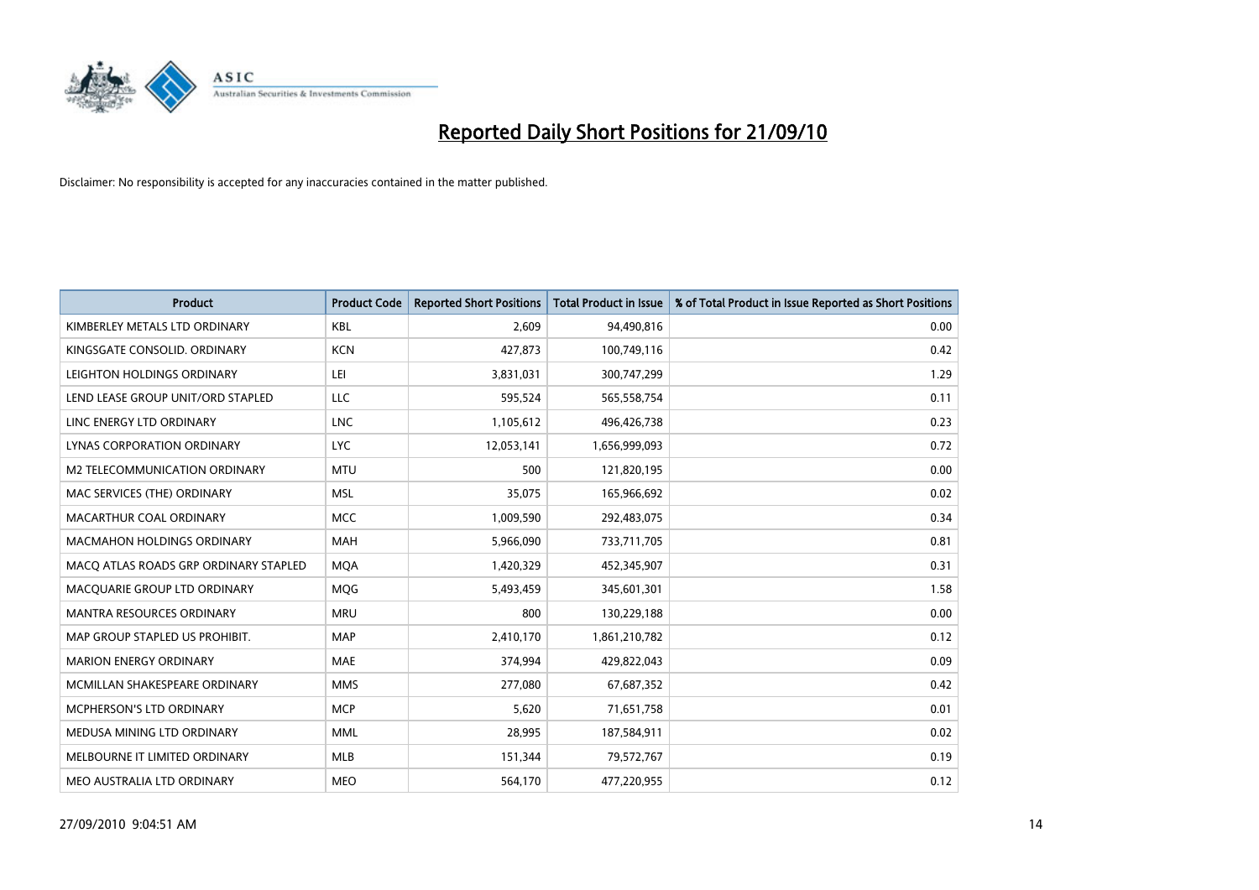

| <b>Product</b>                        | <b>Product Code</b> | <b>Reported Short Positions</b> | Total Product in Issue | % of Total Product in Issue Reported as Short Positions |
|---------------------------------------|---------------------|---------------------------------|------------------------|---------------------------------------------------------|
| KIMBERLEY METALS LTD ORDINARY         | <b>KBL</b>          | 2.609                           | 94,490,816             | 0.00                                                    |
| KINGSGATE CONSOLID. ORDINARY          | <b>KCN</b>          | 427,873                         | 100,749,116            | 0.42                                                    |
| LEIGHTON HOLDINGS ORDINARY            | LEI                 | 3,831,031                       | 300,747,299            | 1.29                                                    |
| LEND LEASE GROUP UNIT/ORD STAPLED     | LLC                 | 595,524                         | 565,558,754            | 0.11                                                    |
| LINC ENERGY LTD ORDINARY              | <b>LNC</b>          | 1,105,612                       | 496,426,738            | 0.23                                                    |
| LYNAS CORPORATION ORDINARY            | <b>LYC</b>          | 12,053,141                      | 1,656,999,093          | 0.72                                                    |
| M2 TELECOMMUNICATION ORDINARY         | <b>MTU</b>          | 500                             | 121,820,195            | 0.00                                                    |
| MAC SERVICES (THE) ORDINARY           | <b>MSL</b>          | 35.075                          | 165,966,692            | 0.02                                                    |
| MACARTHUR COAL ORDINARY               | <b>MCC</b>          | 1,009,590                       | 292,483,075            | 0.34                                                    |
| <b>MACMAHON HOLDINGS ORDINARY</b>     | <b>MAH</b>          | 5,966,090                       | 733,711,705            | 0.81                                                    |
| MACO ATLAS ROADS GRP ORDINARY STAPLED | <b>MOA</b>          | 1,420,329                       | 452,345,907            | 0.31                                                    |
| MACQUARIE GROUP LTD ORDINARY          | <b>MOG</b>          | 5,493,459                       | 345,601,301            | 1.58                                                    |
| <b>MANTRA RESOURCES ORDINARY</b>      | <b>MRU</b>          | 800                             | 130,229,188            | 0.00                                                    |
| MAP GROUP STAPLED US PROHIBIT.        | <b>MAP</b>          | 2,410,170                       | 1,861,210,782          | 0.12                                                    |
| <b>MARION ENERGY ORDINARY</b>         | <b>MAE</b>          | 374,994                         | 429,822,043            | 0.09                                                    |
| MCMILLAN SHAKESPEARE ORDINARY         | <b>MMS</b>          | 277,080                         | 67,687,352             | 0.42                                                    |
| MCPHERSON'S LTD ORDINARY              | <b>MCP</b>          | 5,620                           | 71,651,758             | 0.01                                                    |
| MEDUSA MINING LTD ORDINARY            | <b>MML</b>          | 28,995                          | 187,584,911            | 0.02                                                    |
| MELBOURNE IT LIMITED ORDINARY         | MLB                 | 151,344                         | 79,572,767             | 0.19                                                    |
| MEO AUSTRALIA LTD ORDINARY            | <b>MEO</b>          | 564,170                         | 477,220,955            | 0.12                                                    |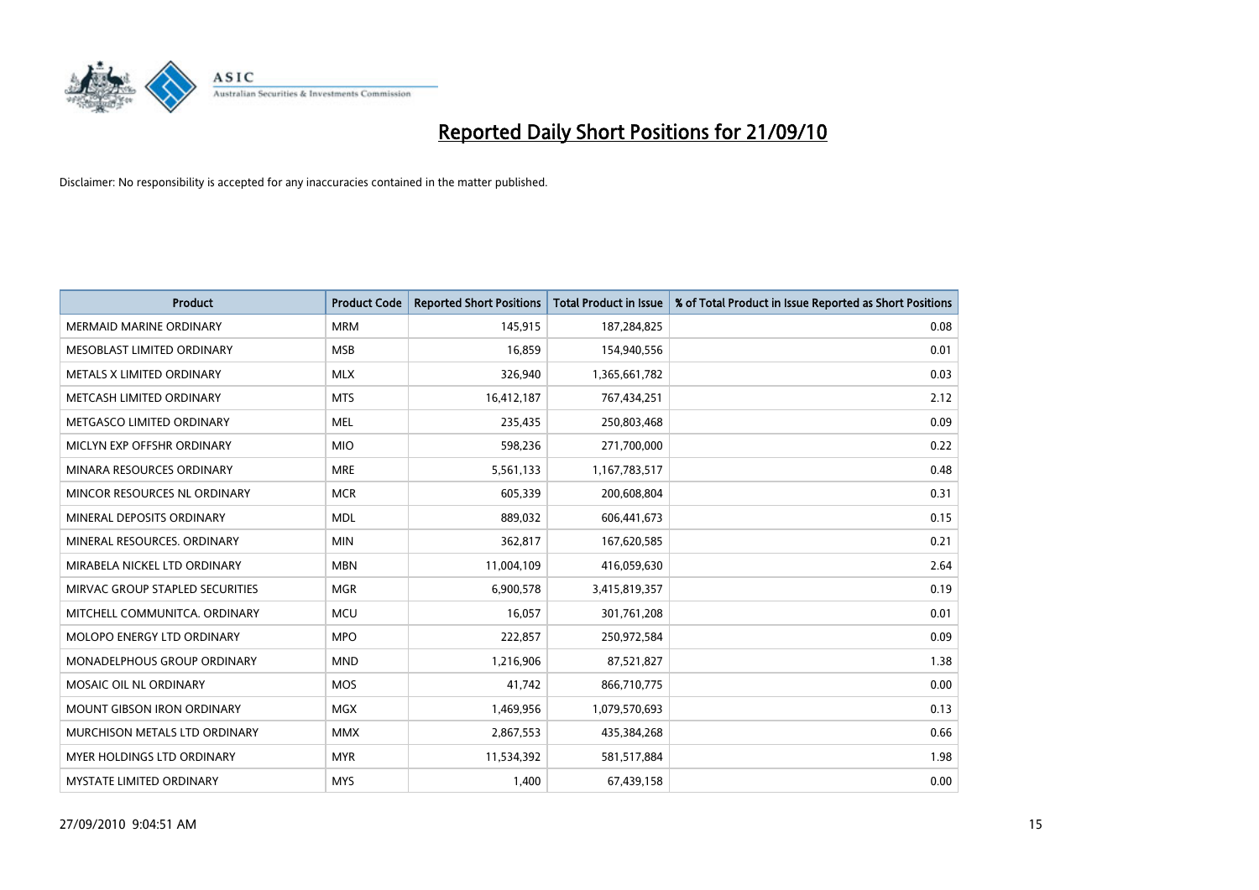

| <b>Product</b>                    | <b>Product Code</b> | <b>Reported Short Positions</b> | Total Product in Issue | % of Total Product in Issue Reported as Short Positions |
|-----------------------------------|---------------------|---------------------------------|------------------------|---------------------------------------------------------|
| <b>MERMAID MARINE ORDINARY</b>    | <b>MRM</b>          | 145,915                         | 187,284,825            | 0.08                                                    |
| MESOBLAST LIMITED ORDINARY        | <b>MSB</b>          | 16,859                          | 154,940,556            | 0.01                                                    |
| METALS X LIMITED ORDINARY         | <b>MLX</b>          | 326,940                         | 1,365,661,782          | 0.03                                                    |
| METCASH LIMITED ORDINARY          | <b>MTS</b>          | 16,412,187                      | 767,434,251            | 2.12                                                    |
| METGASCO LIMITED ORDINARY         | <b>MEL</b>          | 235,435                         | 250,803,468            | 0.09                                                    |
| MICLYN EXP OFFSHR ORDINARY        | <b>MIO</b>          | 598,236                         | 271,700,000            | 0.22                                                    |
| MINARA RESOURCES ORDINARY         | <b>MRE</b>          | 5,561,133                       | 1,167,783,517          | 0.48                                                    |
| MINCOR RESOURCES NL ORDINARY      | <b>MCR</b>          | 605,339                         | 200,608,804            | 0.31                                                    |
| MINERAL DEPOSITS ORDINARY         | <b>MDL</b>          | 889,032                         | 606,441,673            | 0.15                                                    |
| MINERAL RESOURCES, ORDINARY       | <b>MIN</b>          | 362,817                         | 167,620,585            | 0.21                                                    |
| MIRABELA NICKEL LTD ORDINARY      | <b>MBN</b>          | 11,004,109                      | 416,059,630            | 2.64                                                    |
| MIRVAC GROUP STAPLED SECURITIES   | <b>MGR</b>          | 6,900,578                       | 3,415,819,357          | 0.19                                                    |
| MITCHELL COMMUNITCA. ORDINARY     | <b>MCU</b>          | 16,057                          | 301,761,208            | 0.01                                                    |
| <b>MOLOPO ENERGY LTD ORDINARY</b> | <b>MPO</b>          | 222,857                         | 250,972,584            | 0.09                                                    |
| MONADELPHOUS GROUP ORDINARY       | <b>MND</b>          | 1,216,906                       | 87,521,827             | 1.38                                                    |
| MOSAIC OIL NL ORDINARY            | <b>MOS</b>          | 41,742                          | 866,710,775            | 0.00                                                    |
| MOUNT GIBSON IRON ORDINARY        | MGX                 | 1,469,956                       | 1,079,570,693          | 0.13                                                    |
| MURCHISON METALS LTD ORDINARY     | <b>MMX</b>          | 2,867,553                       | 435,384,268            | 0.66                                                    |
| <b>MYER HOLDINGS LTD ORDINARY</b> | <b>MYR</b>          | 11,534,392                      | 581,517,884            | 1.98                                                    |
| MYSTATE LIMITED ORDINARY          | <b>MYS</b>          | 1,400                           | 67,439,158             | 0.00                                                    |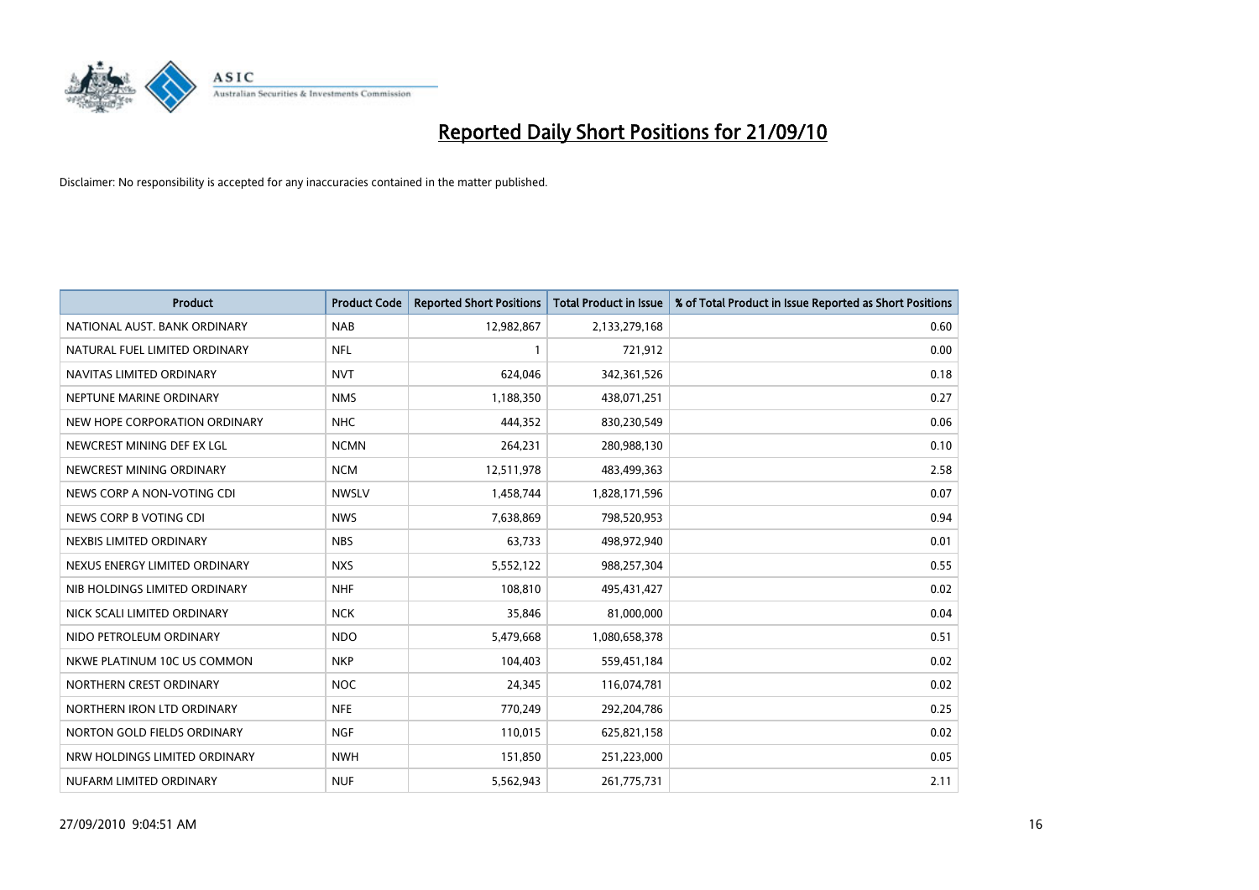

| <b>Product</b>                | <b>Product Code</b> | <b>Reported Short Positions</b> | <b>Total Product in Issue</b> | % of Total Product in Issue Reported as Short Positions |
|-------------------------------|---------------------|---------------------------------|-------------------------------|---------------------------------------------------------|
| NATIONAL AUST. BANK ORDINARY  | <b>NAB</b>          | 12,982,867                      | 2,133,279,168                 | 0.60                                                    |
| NATURAL FUEL LIMITED ORDINARY | <b>NFL</b>          |                                 | 721,912                       | 0.00                                                    |
| NAVITAS LIMITED ORDINARY      | <b>NVT</b>          | 624,046                         | 342,361,526                   | 0.18                                                    |
| NEPTUNE MARINE ORDINARY       | <b>NMS</b>          | 1,188,350                       | 438,071,251                   | 0.27                                                    |
| NEW HOPE CORPORATION ORDINARY | <b>NHC</b>          | 444,352                         | 830,230,549                   | 0.06                                                    |
| NEWCREST MINING DEF EX LGL    | <b>NCMN</b>         | 264,231                         | 280,988,130                   | 0.10                                                    |
| NEWCREST MINING ORDINARY      | <b>NCM</b>          | 12,511,978                      | 483,499,363                   | 2.58                                                    |
| NEWS CORP A NON-VOTING CDI    | <b>NWSLV</b>        | 1,458,744                       | 1,828,171,596                 | 0.07                                                    |
| NEWS CORP B VOTING CDI        | <b>NWS</b>          | 7,638,869                       | 798,520,953                   | 0.94                                                    |
| NEXBIS LIMITED ORDINARY       | <b>NBS</b>          | 63,733                          | 498,972,940                   | 0.01                                                    |
| NEXUS ENERGY LIMITED ORDINARY | <b>NXS</b>          | 5,552,122                       | 988,257,304                   | 0.55                                                    |
| NIB HOLDINGS LIMITED ORDINARY | <b>NHF</b>          | 108,810                         | 495,431,427                   | 0.02                                                    |
| NICK SCALI LIMITED ORDINARY   | <b>NCK</b>          | 35,846                          | 81,000,000                    | 0.04                                                    |
| NIDO PETROLEUM ORDINARY       | <b>NDO</b>          | 5,479,668                       | 1,080,658,378                 | 0.51                                                    |
| NKWE PLATINUM 10C US COMMON   | <b>NKP</b>          | 104,403                         | 559,451,184                   | 0.02                                                    |
| NORTHERN CREST ORDINARY       | <b>NOC</b>          | 24,345                          | 116,074,781                   | 0.02                                                    |
| NORTHERN IRON LTD ORDINARY    | <b>NFE</b>          | 770,249                         | 292,204,786                   | 0.25                                                    |
| NORTON GOLD FIELDS ORDINARY   | <b>NGF</b>          | 110,015                         | 625,821,158                   | 0.02                                                    |
| NRW HOLDINGS LIMITED ORDINARY | <b>NWH</b>          | 151,850                         | 251,223,000                   | 0.05                                                    |
| NUFARM LIMITED ORDINARY       | <b>NUF</b>          | 5,562,943                       | 261,775,731                   | 2.11                                                    |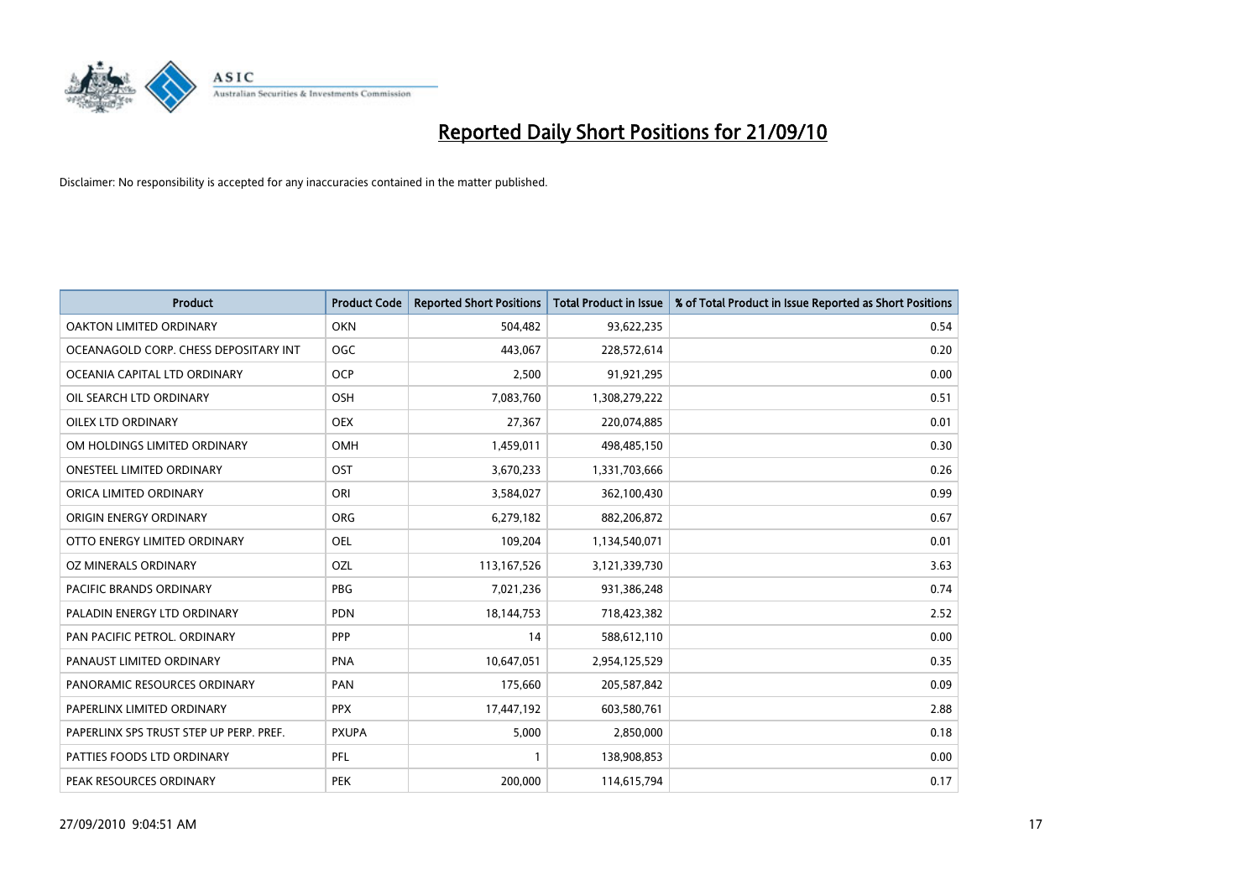

| <b>Product</b>                          | <b>Product Code</b> | <b>Reported Short Positions</b> | Total Product in Issue | % of Total Product in Issue Reported as Short Positions |
|-----------------------------------------|---------------------|---------------------------------|------------------------|---------------------------------------------------------|
| <b>OAKTON LIMITED ORDINARY</b>          | <b>OKN</b>          | 504,482                         | 93,622,235             | 0.54                                                    |
| OCEANAGOLD CORP. CHESS DEPOSITARY INT   | <b>OGC</b>          | 443,067                         | 228,572,614            | 0.20                                                    |
| OCEANIA CAPITAL LTD ORDINARY            | <b>OCP</b>          | 2,500                           | 91,921,295             | 0.00                                                    |
| OIL SEARCH LTD ORDINARY                 | <b>OSH</b>          | 7,083,760                       | 1,308,279,222          | 0.51                                                    |
| <b>OILEX LTD ORDINARY</b>               | <b>OEX</b>          | 27,367                          | 220,074,885            | 0.01                                                    |
| OM HOLDINGS LIMITED ORDINARY            | OMH                 | 1,459,011                       | 498,485,150            | 0.30                                                    |
| <b>ONESTEEL LIMITED ORDINARY</b>        | OST                 | 3,670,233                       | 1,331,703,666          | 0.26                                                    |
| ORICA LIMITED ORDINARY                  | ORI                 | 3,584,027                       | 362,100,430            | 0.99                                                    |
| ORIGIN ENERGY ORDINARY                  | <b>ORG</b>          | 6,279,182                       | 882,206,872            | 0.67                                                    |
| OTTO ENERGY LIMITED ORDINARY            | <b>OEL</b>          | 109,204                         | 1,134,540,071          | 0.01                                                    |
| OZ MINERALS ORDINARY                    | OZL                 | 113,167,526                     | 3,121,339,730          | 3.63                                                    |
| PACIFIC BRANDS ORDINARY                 | PBG                 | 7,021,236                       | 931,386,248            | 0.74                                                    |
| PALADIN ENERGY LTD ORDINARY             | <b>PDN</b>          | 18, 144, 753                    | 718,423,382            | 2.52                                                    |
| PAN PACIFIC PETROL. ORDINARY            | PPP                 | 14                              | 588,612,110            | 0.00                                                    |
| PANAUST LIMITED ORDINARY                | <b>PNA</b>          | 10,647,051                      | 2,954,125,529          | 0.35                                                    |
| PANORAMIC RESOURCES ORDINARY            | PAN                 | 175,660                         | 205,587,842            | 0.09                                                    |
| PAPERLINX LIMITED ORDINARY              | <b>PPX</b>          | 17,447,192                      | 603,580,761            | 2.88                                                    |
| PAPERLINX SPS TRUST STEP UP PERP. PREF. | <b>PXUPA</b>        | 5,000                           | 2,850,000              | 0.18                                                    |
| PATTIES FOODS LTD ORDINARY              | PFL                 |                                 | 138,908,853            | 0.00                                                    |
| PEAK RESOURCES ORDINARY                 | <b>PEK</b>          | 200.000                         | 114,615,794            | 0.17                                                    |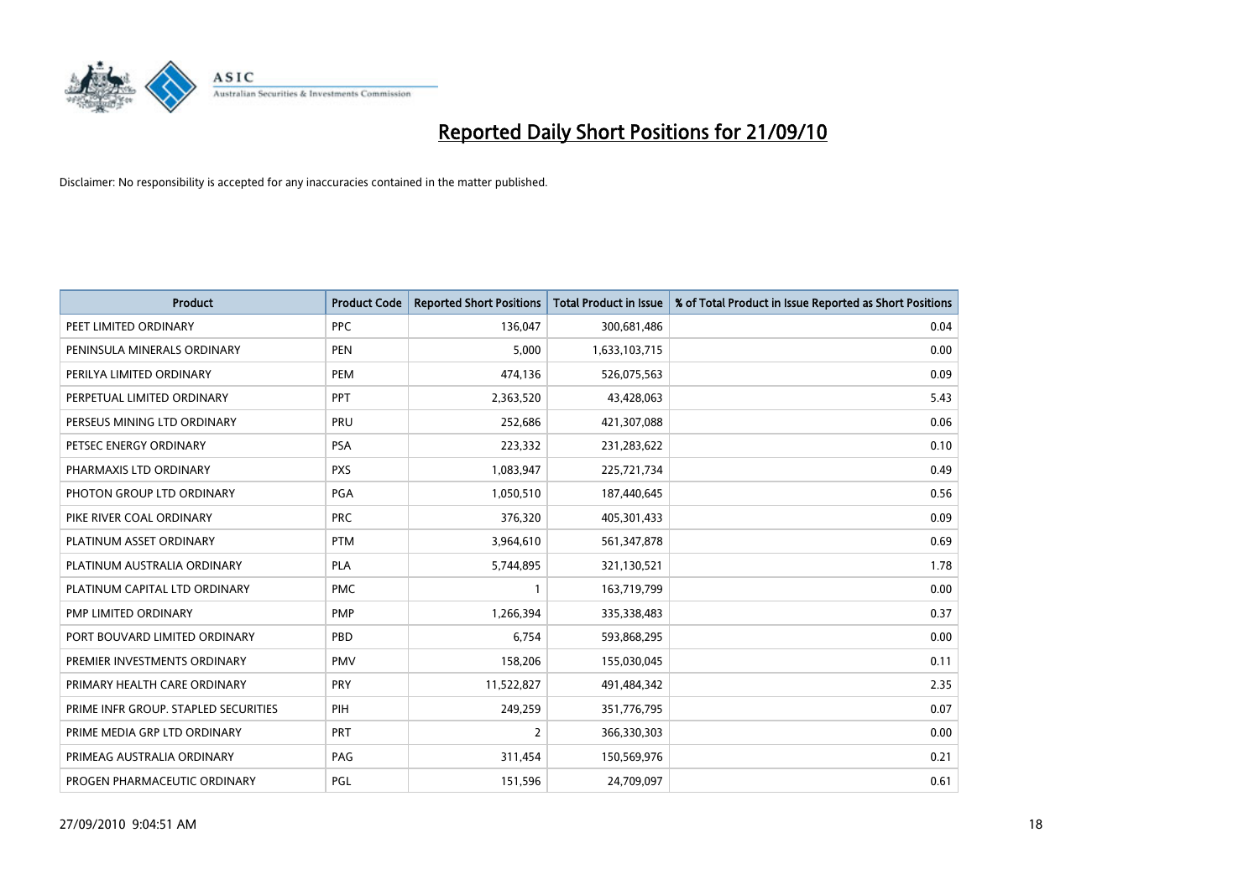

| <b>Product</b>                       | <b>Product Code</b> | <b>Reported Short Positions</b> | Total Product in Issue | % of Total Product in Issue Reported as Short Positions |
|--------------------------------------|---------------------|---------------------------------|------------------------|---------------------------------------------------------|
| PEET LIMITED ORDINARY                | <b>PPC</b>          | 136,047                         | 300,681,486            | 0.04                                                    |
| PENINSULA MINERALS ORDINARY          | <b>PEN</b>          | 5,000                           | 1,633,103,715          | 0.00                                                    |
| PERILYA LIMITED ORDINARY             | PEM                 | 474,136                         | 526,075,563            | 0.09                                                    |
| PERPETUAL LIMITED ORDINARY           | <b>PPT</b>          | 2,363,520                       | 43,428,063             | 5.43                                                    |
| PERSEUS MINING LTD ORDINARY          | PRU                 | 252,686                         | 421,307,088            | 0.06                                                    |
| PETSEC ENERGY ORDINARY               | <b>PSA</b>          | 223,332                         | 231,283,622            | 0.10                                                    |
| PHARMAXIS LTD ORDINARY               | <b>PXS</b>          | 1,083,947                       | 225,721,734            | 0.49                                                    |
| PHOTON GROUP LTD ORDINARY            | <b>PGA</b>          | 1,050,510                       | 187,440,645            | 0.56                                                    |
| PIKE RIVER COAL ORDINARY             | <b>PRC</b>          | 376,320                         | 405,301,433            | 0.09                                                    |
| PLATINUM ASSET ORDINARY              | <b>PTM</b>          | 3,964,610                       | 561,347,878            | 0.69                                                    |
| PLATINUM AUSTRALIA ORDINARY          | <b>PLA</b>          | 5,744,895                       | 321,130,521            | 1.78                                                    |
| PLATINUM CAPITAL LTD ORDINARY        | <b>PMC</b>          |                                 | 163,719,799            | 0.00                                                    |
| PMP LIMITED ORDINARY                 | <b>PMP</b>          | 1,266,394                       | 335,338,483            | 0.37                                                    |
| PORT BOUVARD LIMITED ORDINARY        | PBD                 | 6,754                           | 593,868,295            | 0.00                                                    |
| PREMIER INVESTMENTS ORDINARY         | <b>PMV</b>          | 158,206                         | 155,030,045            | 0.11                                                    |
| PRIMARY HEALTH CARE ORDINARY         | <b>PRY</b>          | 11,522,827                      | 491,484,342            | 2.35                                                    |
| PRIME INFR GROUP. STAPLED SECURITIES | PIH                 | 249,259                         | 351,776,795            | 0.07                                                    |
| PRIME MEDIA GRP LTD ORDINARY         | <b>PRT</b>          | $\overline{2}$                  | 366,330,303            | 0.00                                                    |
| PRIMEAG AUSTRALIA ORDINARY           | PAG                 | 311,454                         | 150,569,976            | 0.21                                                    |
| PROGEN PHARMACEUTIC ORDINARY         | PGL                 | 151,596                         | 24,709,097             | 0.61                                                    |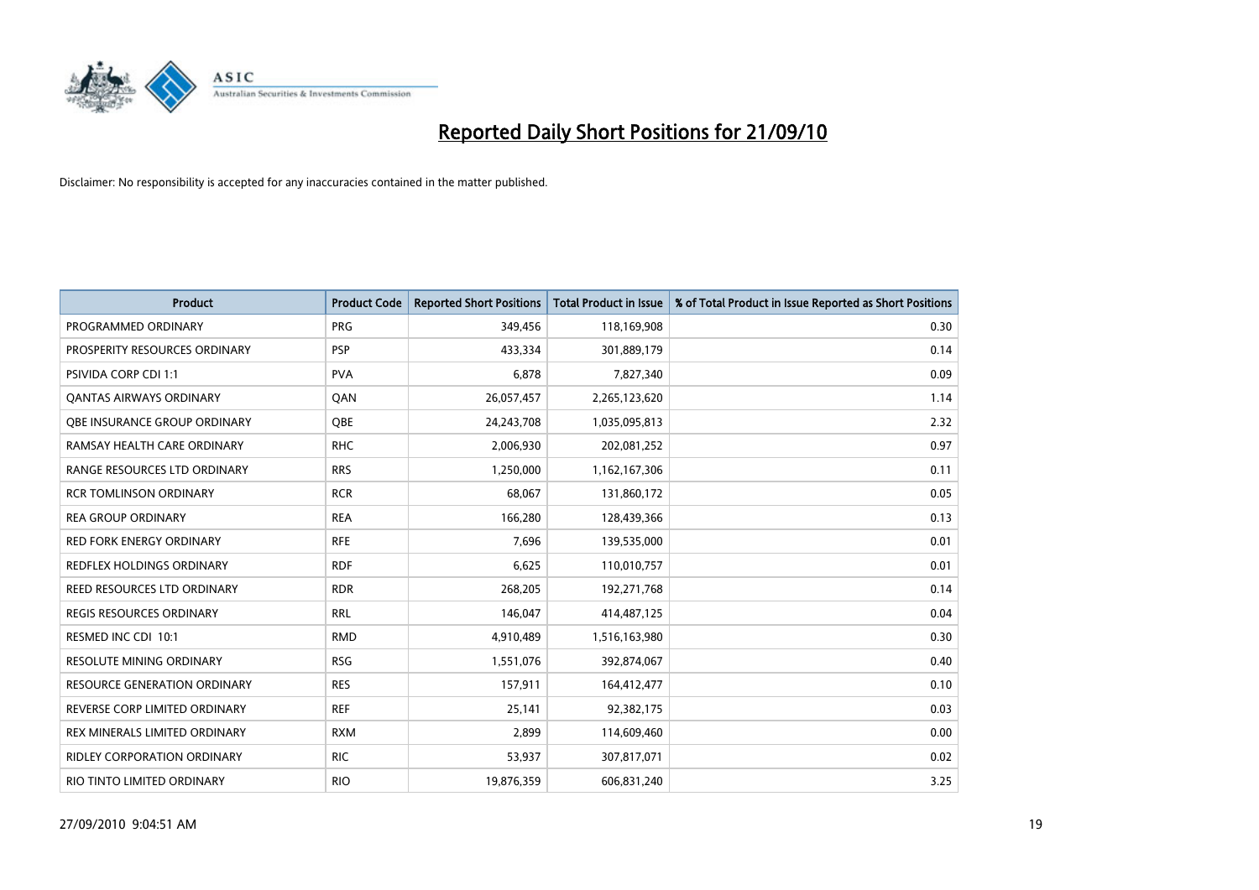

| <b>Product</b>                   | <b>Product Code</b> | <b>Reported Short Positions</b> | Total Product in Issue | % of Total Product in Issue Reported as Short Positions |
|----------------------------------|---------------------|---------------------------------|------------------------|---------------------------------------------------------|
| PROGRAMMED ORDINARY              | <b>PRG</b>          | 349,456                         | 118,169,908            | 0.30                                                    |
| PROSPERITY RESOURCES ORDINARY    | <b>PSP</b>          | 433,334                         | 301,889,179            | 0.14                                                    |
| <b>PSIVIDA CORP CDI 1:1</b>      | <b>PVA</b>          | 6,878                           | 7,827,340              | 0.09                                                    |
| <b>QANTAS AIRWAYS ORDINARY</b>   | QAN                 | 26,057,457                      | 2,265,123,620          | 1.14                                                    |
| OBE INSURANCE GROUP ORDINARY     | <b>QBE</b>          | 24,243,708                      | 1,035,095,813          | 2.32                                                    |
| RAMSAY HEALTH CARE ORDINARY      | <b>RHC</b>          | 2,006,930                       | 202,081,252            | 0.97                                                    |
| RANGE RESOURCES LTD ORDINARY     | <b>RRS</b>          | 1,250,000                       | 1,162,167,306          | 0.11                                                    |
| <b>RCR TOMLINSON ORDINARY</b>    | <b>RCR</b>          | 68,067                          | 131,860,172            | 0.05                                                    |
| <b>REA GROUP ORDINARY</b>        | <b>REA</b>          | 166,280                         | 128,439,366            | 0.13                                                    |
| <b>RED FORK ENERGY ORDINARY</b>  | <b>RFE</b>          | 7,696                           | 139,535,000            | 0.01                                                    |
| <b>REDFLEX HOLDINGS ORDINARY</b> | <b>RDF</b>          | 6,625                           | 110,010,757            | 0.01                                                    |
| REED RESOURCES LTD ORDINARY      | <b>RDR</b>          | 268,205                         | 192,271,768            | 0.14                                                    |
| <b>REGIS RESOURCES ORDINARY</b>  | <b>RRL</b>          | 146,047                         | 414,487,125            | 0.04                                                    |
| RESMED INC CDI 10:1              | <b>RMD</b>          | 4,910,489                       | 1,516,163,980          | 0.30                                                    |
| <b>RESOLUTE MINING ORDINARY</b>  | <b>RSG</b>          | 1,551,076                       | 392,874,067            | 0.40                                                    |
| RESOURCE GENERATION ORDINARY     | <b>RES</b>          | 157,911                         | 164,412,477            | 0.10                                                    |
| REVERSE CORP LIMITED ORDINARY    | <b>REF</b>          | 25,141                          | 92,382,175             | 0.03                                                    |
| REX MINERALS LIMITED ORDINARY    | <b>RXM</b>          | 2,899                           | 114,609,460            | 0.00                                                    |
| RIDLEY CORPORATION ORDINARY      | <b>RIC</b>          | 53,937                          | 307,817,071            | 0.02                                                    |
| RIO TINTO LIMITED ORDINARY       | <b>RIO</b>          | 19,876,359                      | 606,831,240            | 3.25                                                    |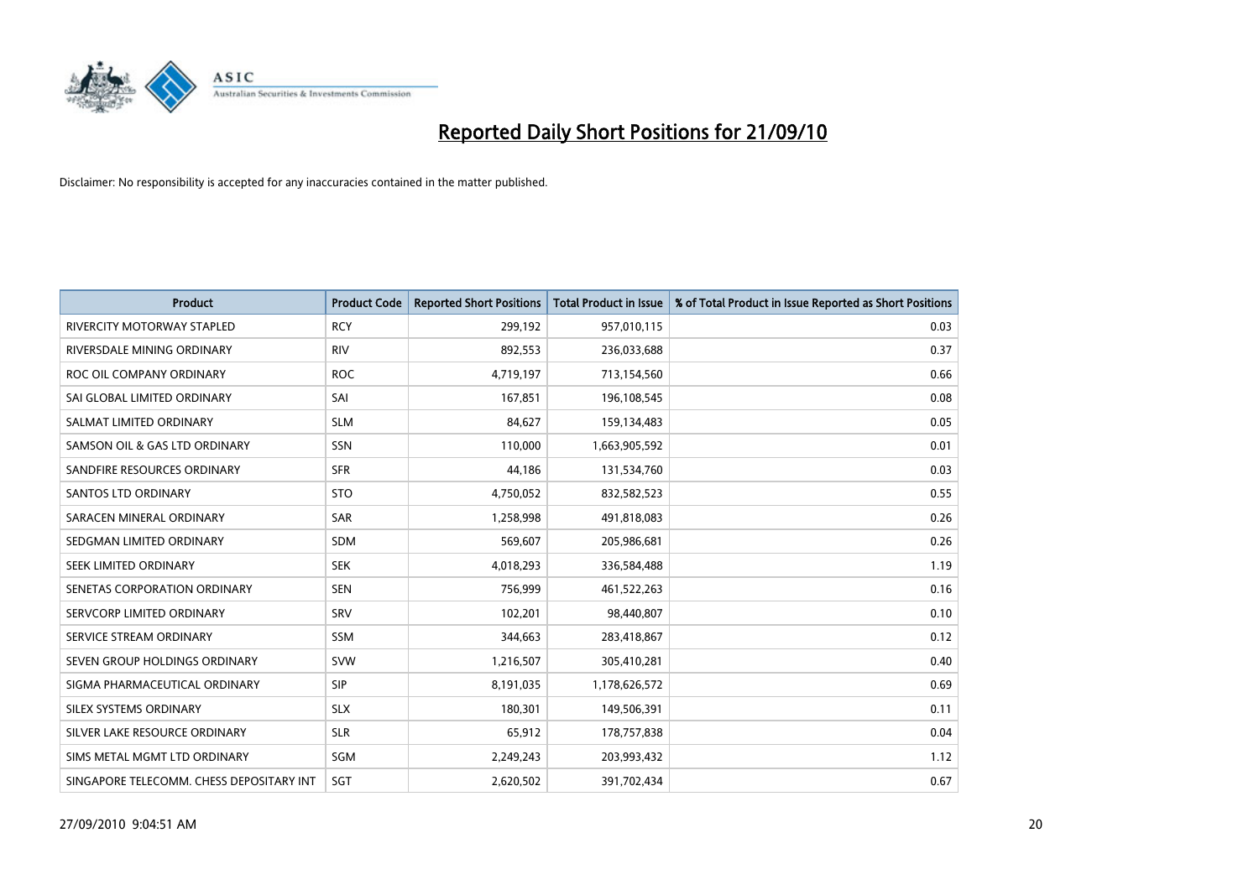

| <b>Product</b>                           | <b>Product Code</b> | <b>Reported Short Positions</b> | <b>Total Product in Issue</b> | % of Total Product in Issue Reported as Short Positions |
|------------------------------------------|---------------------|---------------------------------|-------------------------------|---------------------------------------------------------|
| <b>RIVERCITY MOTORWAY STAPLED</b>        | <b>RCY</b>          | 299,192                         | 957,010,115                   | 0.03                                                    |
| RIVERSDALE MINING ORDINARY               | <b>RIV</b>          | 892,553                         | 236,033,688                   | 0.37                                                    |
| ROC OIL COMPANY ORDINARY                 | <b>ROC</b>          | 4,719,197                       | 713,154,560                   | 0.66                                                    |
| SAI GLOBAL LIMITED ORDINARY              | SAI                 | 167,851                         | 196,108,545                   | 0.08                                                    |
| SALMAT LIMITED ORDINARY                  | <b>SLM</b>          | 84,627                          | 159,134,483                   | 0.05                                                    |
| SAMSON OIL & GAS LTD ORDINARY            | SSN                 | 110,000                         | 1,663,905,592                 | 0.01                                                    |
| SANDFIRE RESOURCES ORDINARY              | <b>SFR</b>          | 44,186                          | 131,534,760                   | 0.03                                                    |
| <b>SANTOS LTD ORDINARY</b>               | <b>STO</b>          | 4,750,052                       | 832,582,523                   | 0.55                                                    |
| SARACEN MINERAL ORDINARY                 | <b>SAR</b>          | 1,258,998                       | 491,818,083                   | 0.26                                                    |
| SEDGMAN LIMITED ORDINARY                 | <b>SDM</b>          | 569,607                         | 205,986,681                   | 0.26                                                    |
| SEEK LIMITED ORDINARY                    | <b>SEK</b>          | 4,018,293                       | 336,584,488                   | 1.19                                                    |
| SENETAS CORPORATION ORDINARY             | <b>SEN</b>          | 756,999                         | 461,522,263                   | 0.16                                                    |
| SERVCORP LIMITED ORDINARY                | SRV                 | 102,201                         | 98,440,807                    | 0.10                                                    |
| SERVICE STREAM ORDINARY                  | <b>SSM</b>          | 344,663                         | 283,418,867                   | 0.12                                                    |
| SEVEN GROUP HOLDINGS ORDINARY            | <b>SVW</b>          | 1,216,507                       | 305,410,281                   | 0.40                                                    |
| SIGMA PHARMACEUTICAL ORDINARY            | SIP                 | 8,191,035                       | 1,178,626,572                 | 0.69                                                    |
| SILEX SYSTEMS ORDINARY                   | <b>SLX</b>          | 180,301                         | 149,506,391                   | 0.11                                                    |
| SILVER LAKE RESOURCE ORDINARY            | <b>SLR</b>          | 65,912                          | 178,757,838                   | 0.04                                                    |
| SIMS METAL MGMT LTD ORDINARY             | SGM                 | 2,249,243                       | 203,993,432                   | 1.12                                                    |
| SINGAPORE TELECOMM. CHESS DEPOSITARY INT | SGT                 | 2,620,502                       | 391,702,434                   | 0.67                                                    |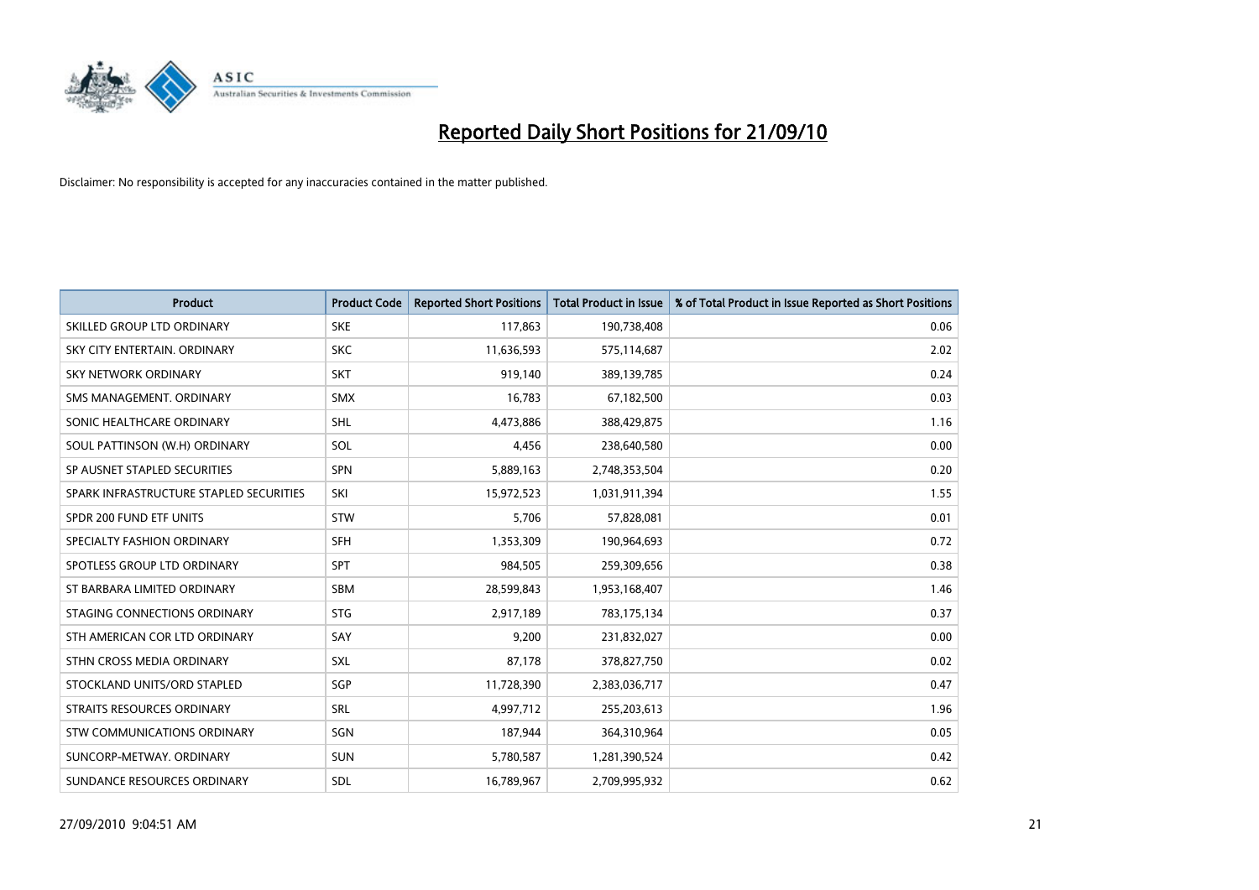

| <b>Product</b>                          | <b>Product Code</b> | <b>Reported Short Positions</b> | <b>Total Product in Issue</b> | % of Total Product in Issue Reported as Short Positions |
|-----------------------------------------|---------------------|---------------------------------|-------------------------------|---------------------------------------------------------|
| SKILLED GROUP LTD ORDINARY              | <b>SKE</b>          | 117,863                         | 190,738,408                   | 0.06                                                    |
| SKY CITY ENTERTAIN. ORDINARY            | <b>SKC</b>          | 11,636,593                      | 575,114,687                   | 2.02                                                    |
| SKY NETWORK ORDINARY                    | <b>SKT</b>          | 919,140                         | 389,139,785                   | 0.24                                                    |
| SMS MANAGEMENT, ORDINARY                | <b>SMX</b>          | 16,783                          | 67,182,500                    | 0.03                                                    |
| SONIC HEALTHCARE ORDINARY               | <b>SHL</b>          | 4,473,886                       | 388,429,875                   | 1.16                                                    |
| SOUL PATTINSON (W.H) ORDINARY           | SOL                 | 4,456                           | 238,640,580                   | 0.00                                                    |
| SP AUSNET STAPLED SECURITIES            | SPN                 | 5,889,163                       | 2,748,353,504                 | 0.20                                                    |
| SPARK INFRASTRUCTURE STAPLED SECURITIES | SKI                 | 15,972,523                      | 1,031,911,394                 | 1.55                                                    |
| SPDR 200 FUND ETF UNITS                 | <b>STW</b>          | 5,706                           | 57,828,081                    | 0.01                                                    |
| SPECIALTY FASHION ORDINARY              | <b>SFH</b>          | 1,353,309                       | 190,964,693                   | 0.72                                                    |
| SPOTLESS GROUP LTD ORDINARY             | <b>SPT</b>          | 984,505                         | 259,309,656                   | 0.38                                                    |
| ST BARBARA LIMITED ORDINARY             | <b>SBM</b>          | 28,599,843                      | 1,953,168,407                 | 1.46                                                    |
| STAGING CONNECTIONS ORDINARY            | <b>STG</b>          | 2,917,189                       | 783,175,134                   | 0.37                                                    |
| STH AMERICAN COR LTD ORDINARY           | SAY                 | 9,200                           | 231,832,027                   | 0.00                                                    |
| STHN CROSS MEDIA ORDINARY               | <b>SXL</b>          | 87,178                          | 378,827,750                   | 0.02                                                    |
| STOCKLAND UNITS/ORD STAPLED             | SGP                 | 11,728,390                      | 2,383,036,717                 | 0.47                                                    |
| STRAITS RESOURCES ORDINARY              | SRL                 | 4,997,712                       | 255,203,613                   | 1.96                                                    |
| STW COMMUNICATIONS ORDINARY             | SGN                 | 187,944                         | 364,310,964                   | 0.05                                                    |
| SUNCORP-METWAY, ORDINARY                | <b>SUN</b>          | 5,780,587                       | 1,281,390,524                 | 0.42                                                    |
| SUNDANCE RESOURCES ORDINARY             | <b>SDL</b>          | 16,789,967                      | 2,709,995,932                 | 0.62                                                    |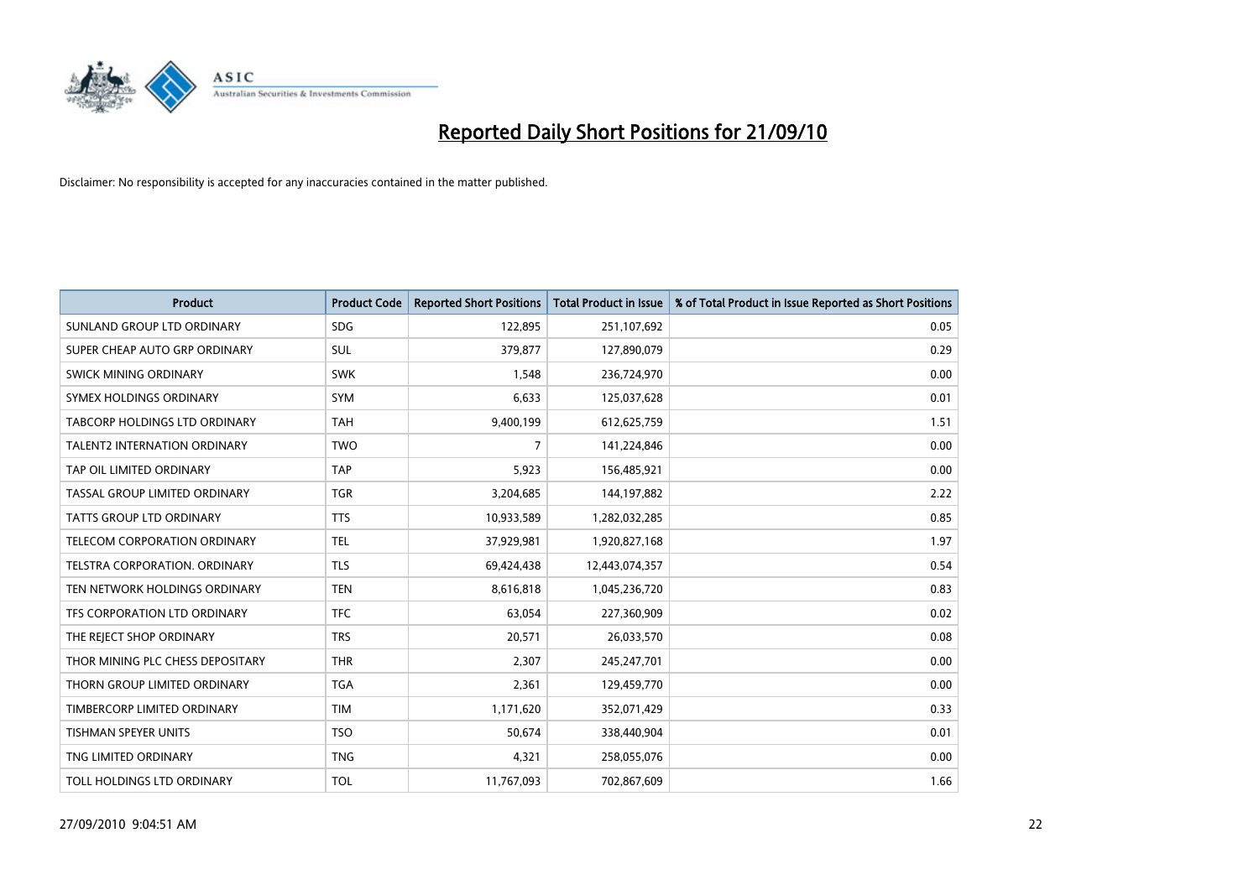

| <b>Product</b>                      | <b>Product Code</b> | <b>Reported Short Positions</b> | <b>Total Product in Issue</b> | % of Total Product in Issue Reported as Short Positions |
|-------------------------------------|---------------------|---------------------------------|-------------------------------|---------------------------------------------------------|
| SUNLAND GROUP LTD ORDINARY          | <b>SDG</b>          | 122,895                         | 251,107,692                   | 0.05                                                    |
| SUPER CHEAP AUTO GRP ORDINARY       | SUL                 | 379,877                         | 127,890,079                   | 0.29                                                    |
| SWICK MINING ORDINARY               | <b>SWK</b>          | 1,548                           | 236,724,970                   | 0.00                                                    |
| SYMEX HOLDINGS ORDINARY             | <b>SYM</b>          | 6,633                           | 125,037,628                   | 0.01                                                    |
| TABCORP HOLDINGS LTD ORDINARY       | <b>TAH</b>          | 9,400,199                       | 612,625,759                   | 1.51                                                    |
| <b>TALENT2 INTERNATION ORDINARY</b> | <b>TWO</b>          | $\overline{7}$                  | 141,224,846                   | 0.00                                                    |
| TAP OIL LIMITED ORDINARY            | <b>TAP</b>          | 5,923                           | 156,485,921                   | 0.00                                                    |
| TASSAL GROUP LIMITED ORDINARY       | <b>TGR</b>          | 3,204,685                       | 144,197,882                   | 2.22                                                    |
| <b>TATTS GROUP LTD ORDINARY</b>     | <b>TTS</b>          | 10,933,589                      | 1,282,032,285                 | 0.85                                                    |
| TELECOM CORPORATION ORDINARY        | <b>TEL</b>          | 37,929,981                      | 1,920,827,168                 | 1.97                                                    |
| TELSTRA CORPORATION. ORDINARY       | <b>TLS</b>          | 69,424,438                      | 12,443,074,357                | 0.54                                                    |
| TEN NETWORK HOLDINGS ORDINARY       | <b>TEN</b>          | 8,616,818                       | 1,045,236,720                 | 0.83                                                    |
| TFS CORPORATION LTD ORDINARY        | <b>TFC</b>          | 63,054                          | 227,360,909                   | 0.02                                                    |
| THE REJECT SHOP ORDINARY            | <b>TRS</b>          | 20,571                          | 26,033,570                    | 0.08                                                    |
| THOR MINING PLC CHESS DEPOSITARY    | <b>THR</b>          | 2,307                           | 245,247,701                   | 0.00                                                    |
| THORN GROUP LIMITED ORDINARY        | <b>TGA</b>          | 2,361                           | 129,459,770                   | 0.00                                                    |
| TIMBERCORP LIMITED ORDINARY         | <b>TIM</b>          | 1,171,620                       | 352,071,429                   | 0.33                                                    |
| TISHMAN SPEYER UNITS                | <b>TSO</b>          | 50,674                          | 338,440,904                   | 0.01                                                    |
| TNG LIMITED ORDINARY                | <b>TNG</b>          | 4,321                           | 258,055,076                   | 0.00                                                    |
| TOLL HOLDINGS LTD ORDINARY          | <b>TOL</b>          | 11,767,093                      | 702,867,609                   | 1.66                                                    |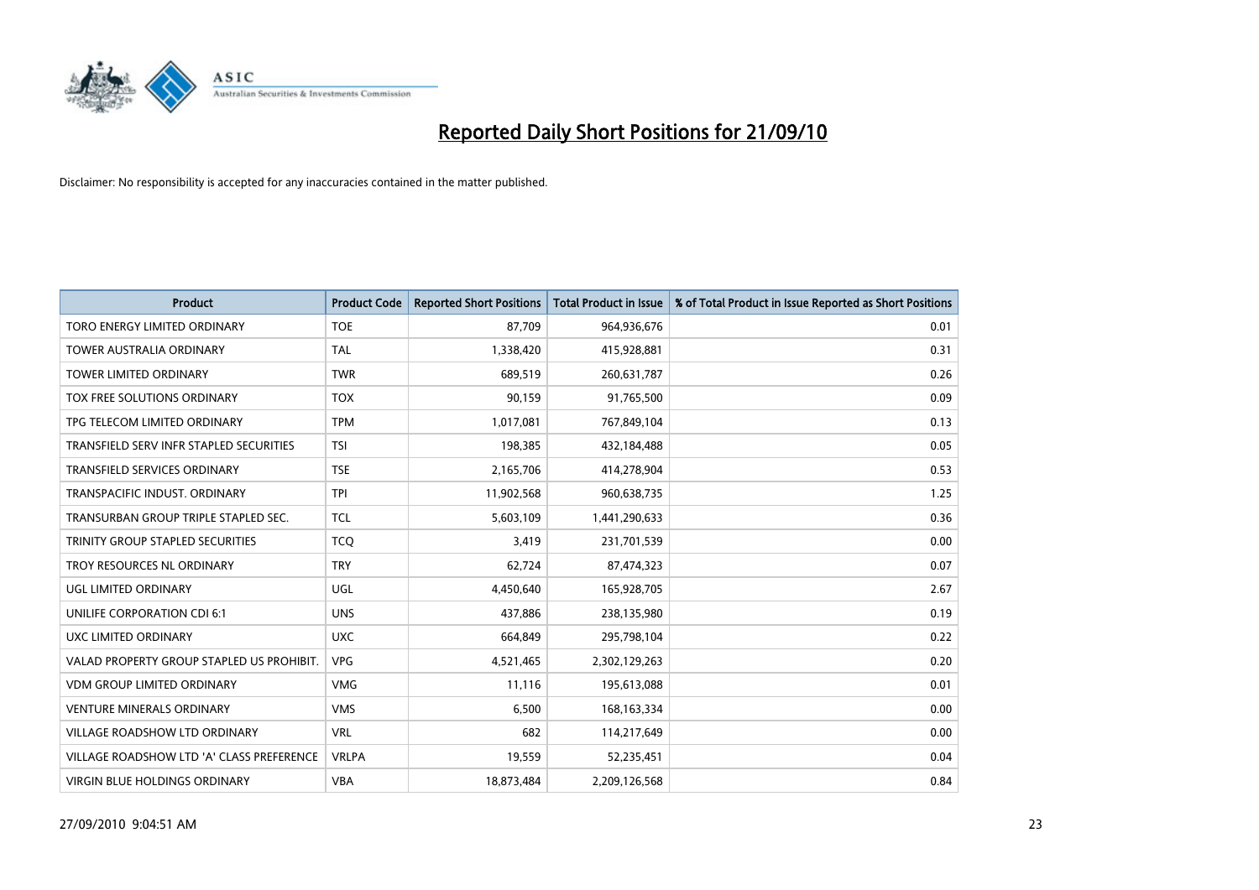

| <b>Product</b>                            | <b>Product Code</b> | <b>Reported Short Positions</b> | Total Product in Issue | % of Total Product in Issue Reported as Short Positions |
|-------------------------------------------|---------------------|---------------------------------|------------------------|---------------------------------------------------------|
| TORO ENERGY LIMITED ORDINARY              | <b>TOE</b>          | 87,709                          | 964,936,676            | 0.01                                                    |
| TOWER AUSTRALIA ORDINARY                  | <b>TAL</b>          | 1,338,420                       | 415,928,881            | 0.31                                                    |
| <b>TOWER LIMITED ORDINARY</b>             | <b>TWR</b>          | 689,519                         | 260,631,787            | 0.26                                                    |
| TOX FREE SOLUTIONS ORDINARY               | <b>TOX</b>          | 90,159                          | 91,765,500             | 0.09                                                    |
| TPG TELECOM LIMITED ORDINARY              | <b>TPM</b>          | 1,017,081                       | 767,849,104            | 0.13                                                    |
| TRANSFIELD SERV INFR STAPLED SECURITIES   | <b>TSI</b>          | 198,385                         | 432,184,488            | 0.05                                                    |
| <b>TRANSFIELD SERVICES ORDINARY</b>       | <b>TSE</b>          | 2,165,706                       | 414,278,904            | 0.53                                                    |
| TRANSPACIFIC INDUST, ORDINARY             | <b>TPI</b>          | 11,902,568                      | 960,638,735            | 1.25                                                    |
| TRANSURBAN GROUP TRIPLE STAPLED SEC.      | <b>TCL</b>          | 5,603,109                       | 1,441,290,633          | 0.36                                                    |
| TRINITY GROUP STAPLED SECURITIES          | <b>TCO</b>          | 3,419                           | 231,701,539            | 0.00                                                    |
| TROY RESOURCES NL ORDINARY                | <b>TRY</b>          | 62,724                          | 87,474,323             | 0.07                                                    |
| <b>UGL LIMITED ORDINARY</b>               | UGL                 | 4,450,640                       | 165,928,705            | 2.67                                                    |
| UNILIFE CORPORATION CDI 6:1               | <b>UNS</b>          | 437,886                         | 238,135,980            | 0.19                                                    |
| UXC LIMITED ORDINARY                      | <b>UXC</b>          | 664,849                         | 295,798,104            | 0.22                                                    |
| VALAD PROPERTY GROUP STAPLED US PROHIBIT. | <b>VPG</b>          | 4,521,465                       | 2,302,129,263          | 0.20                                                    |
| VDM GROUP LIMITED ORDINARY                | <b>VMG</b>          | 11,116                          | 195,613,088            | 0.01                                                    |
| <b>VENTURE MINERALS ORDINARY</b>          | <b>VMS</b>          | 6,500                           | 168, 163, 334          | 0.00                                                    |
| VILLAGE ROADSHOW LTD ORDINARY             | <b>VRL</b>          | 682                             | 114,217,649            | 0.00                                                    |
| VILLAGE ROADSHOW LTD 'A' CLASS PREFERENCE | <b>VRLPA</b>        | 19,559                          | 52,235,451             | 0.04                                                    |
| VIRGIN BLUE HOLDINGS ORDINARY             | <b>VBA</b>          | 18,873,484                      | 2,209,126,568          | 0.84                                                    |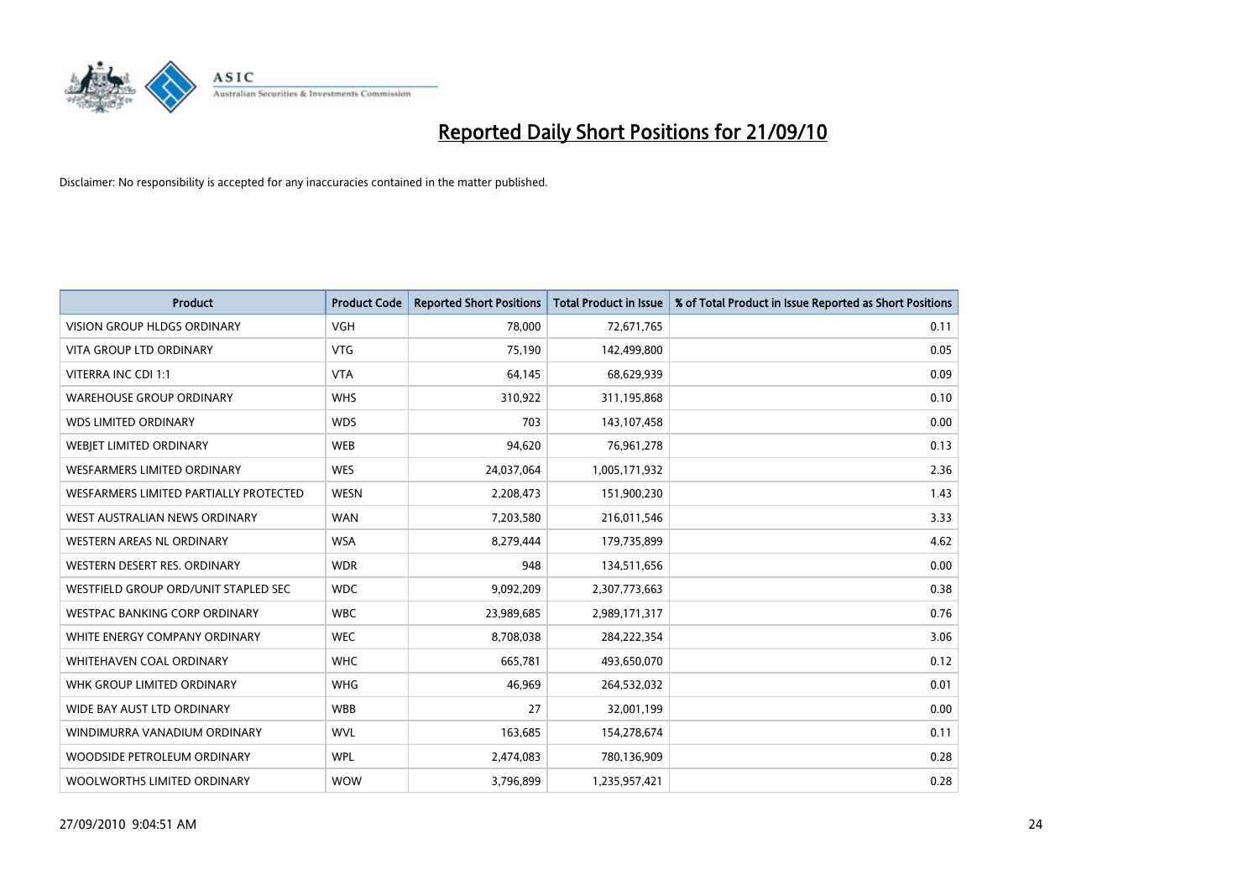

| <b>Product</b>                         | <b>Product Code</b> | <b>Reported Short Positions</b> | <b>Total Product in Issue</b> | % of Total Product in Issue Reported as Short Positions |
|----------------------------------------|---------------------|---------------------------------|-------------------------------|---------------------------------------------------------|
| <b>VISION GROUP HLDGS ORDINARY</b>     | <b>VGH</b>          | 78,000                          | 72,671,765                    | 0.11                                                    |
| VITA GROUP LTD ORDINARY                | <b>VTG</b>          | 75,190                          | 142,499,800                   | 0.05                                                    |
| VITERRA INC CDI 1:1                    | <b>VTA</b>          | 64,145                          | 68,629,939                    | 0.09                                                    |
| <b>WAREHOUSE GROUP ORDINARY</b>        | <b>WHS</b>          | 310,922                         | 311,195,868                   | 0.10                                                    |
| <b>WDS LIMITED ORDINARY</b>            | <b>WDS</b>          | 703                             | 143,107,458                   | 0.00                                                    |
| WEBIET LIMITED ORDINARY                | <b>WEB</b>          | 94,620                          | 76,961,278                    | 0.13                                                    |
| <b>WESFARMERS LIMITED ORDINARY</b>     | <b>WES</b>          | 24,037,064                      | 1,005,171,932                 | 2.36                                                    |
| WESFARMERS LIMITED PARTIALLY PROTECTED | <b>WESN</b>         | 2,208,473                       | 151,900,230                   | 1.43                                                    |
| WEST AUSTRALIAN NEWS ORDINARY          | <b>WAN</b>          | 7,203,580                       | 216,011,546                   | 3.33                                                    |
| WESTERN AREAS NL ORDINARY              | <b>WSA</b>          | 8,279,444                       | 179,735,899                   | 4.62                                                    |
| WESTERN DESERT RES. ORDINARY           | <b>WDR</b>          | 948                             | 134,511,656                   | 0.00                                                    |
| WESTFIELD GROUP ORD/UNIT STAPLED SEC   | <b>WDC</b>          | 9,092,209                       | 2,307,773,663                 | 0.38                                                    |
| WESTPAC BANKING CORP ORDINARY          | <b>WBC</b>          | 23,989,685                      | 2,989,171,317                 | 0.76                                                    |
| WHITE ENERGY COMPANY ORDINARY          | <b>WEC</b>          | 8,708,038                       | 284,222,354                   | 3.06                                                    |
| WHITEHAVEN COAL ORDINARY               | <b>WHC</b>          | 665,781                         | 493,650,070                   | 0.12                                                    |
| WHK GROUP LIMITED ORDINARY             | <b>WHG</b>          | 46,969                          | 264,532,032                   | 0.01                                                    |
| WIDE BAY AUST LTD ORDINARY             | <b>WBB</b>          | 27                              | 32,001,199                    | 0.00                                                    |
| WINDIMURRA VANADIUM ORDINARY           | <b>WVL</b>          | 163,685                         | 154,278,674                   | 0.11                                                    |
| WOODSIDE PETROLEUM ORDINARY            | <b>WPL</b>          | 2,474,083                       | 780,136,909                   | 0.28                                                    |
| WOOLWORTHS LIMITED ORDINARY            | <b>WOW</b>          | 3,796,899                       | 1,235,957,421                 | 0.28                                                    |